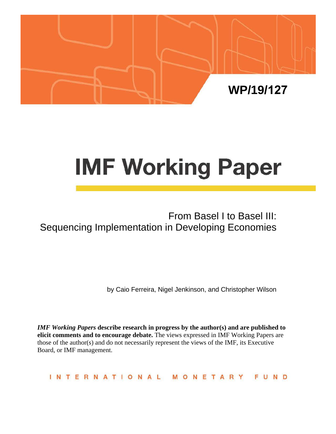

# **IMF Working Paper**

# From Basel I to Basel III: Sequencing Implementation in Developing Economies

by Caio Ferreira, Nigel Jenkinson, and Christopher Wilson

*IMF Working Papers* **describe research in progress by the author(s) and are published to elicit comments and to encourage debate.** The views expressed in IMF Working Papers are those of the author(s) and do not necessarily represent the views of the IMF, its Executive Board, or IMF management.

INTERNATIONAL MONETARY FUND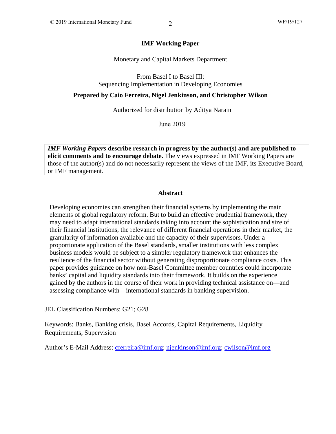#### **IMF Working Paper**

Monetary and Capital Markets Department

From Basel I to Basel III: Sequencing Implementation in Developing Economies

**Prepared by Caio Ferreira, Nigel Jenkinson, and Christopher Wilson**

Authorized for distribution by Aditya Narain

June 2019

*IMF Working Papers* **describe research in progress by the author(s) and are published to elicit comments and to encourage debate.** The views expressed in IMF Working Papers are those of the author(s) and do not necessarily represent the views of the IMF, its Executive Board, or IMF management.

#### **Abstract**

Developing economies can strengthen their financial systems by implementing the main elements of global regulatory reform. But to build an effective prudential framework, they may need to adapt international standards taking into account the sophistication and size of their financial institutions, the relevance of different financial operations in their market, the granularity of information available and the capacity of their supervisors. Under a proportionate application of the Basel standards, smaller institutions with less complex business models would be subject to a simpler regulatory framework that enhances the resilience of the financial sector without generating disproportionate compliance costs. This paper provides guidance on how non-Basel Committee member countries could incorporate banks' capital and liquidity standards into their framework. It builds on the experience gained by the authors in the course of their work in providing technical assistance on—and assessing compliance with—international standards in banking supervision.

JEL Classification Numbers: G21; G28

Keywords: Banks, Banking crisis, Basel Accords, Capital Requirements, Liquidity Requirements, Supervision

Author's E-Mail Address: [cferreira@imf.org;](mailto:cferreira@imf.org) [njenkinson@imf.org;](mailto:njenkinson@imf.org) [cwilson@imf.org](mailto:cwilson@imf.org)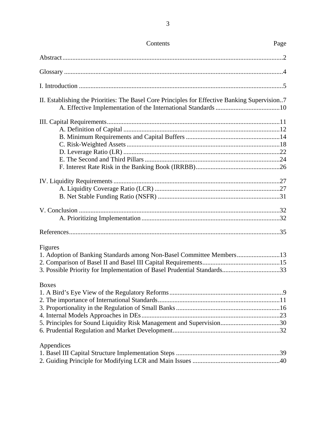| Contents                                                                                                                                                                   | Page |
|----------------------------------------------------------------------------------------------------------------------------------------------------------------------------|------|
|                                                                                                                                                                            |      |
|                                                                                                                                                                            |      |
|                                                                                                                                                                            |      |
| II. Establishing the Priorities: The Basel Core Principles for Effective Banking Supervision7                                                                              |      |
|                                                                                                                                                                            |      |
|                                                                                                                                                                            |      |
|                                                                                                                                                                            |      |
| Figures<br>1. Adoption of Banking Standards among Non-Basel Committee Members13<br>3. Possible Priority for Implementation of Basel Prudential Standards33<br><b>Boxes</b> |      |
| 5. Principles for Sound Liquidity Risk Management and Supervision30                                                                                                        |      |
| Appendices                                                                                                                                                                 |      |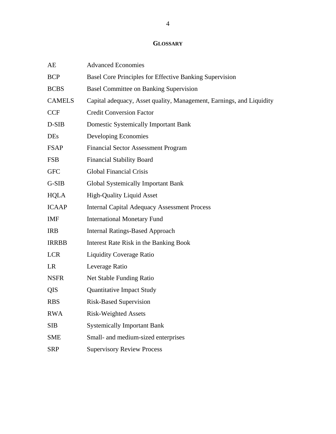## **GLOSSARY**

| AE            | <b>Advanced Economies</b>                                            |
|---------------|----------------------------------------------------------------------|
| <b>BCP</b>    | Basel Core Principles for Effective Banking Supervision              |
| <b>BCBS</b>   | <b>Basel Committee on Banking Supervision</b>                        |
| <b>CAMELS</b> | Capital adequacy, Asset quality, Management, Earnings, and Liquidity |
| <b>CCF</b>    | <b>Credit Conversion Factor</b>                                      |
| D-SIB         | <b>Domestic Systemically Important Bank</b>                          |
| <b>DEs</b>    | Developing Economies                                                 |
| <b>FSAP</b>   | <b>Financial Sector Assessment Program</b>                           |
| <b>FSB</b>    | <b>Financial Stability Board</b>                                     |
| <b>GFC</b>    | <b>Global Financial Crisis</b>                                       |
| G-SIB         | <b>Global Systemically Important Bank</b>                            |
| <b>HQLA</b>   | <b>High-Quality Liquid Asset</b>                                     |
| <b>ICAAP</b>  | <b>Internal Capital Adequacy Assessment Process</b>                  |
| <b>IMF</b>    | <b>International Monetary Fund</b>                                   |
| <b>IRB</b>    | <b>Internal Ratings-Based Approach</b>                               |
| <b>IRRBB</b>  | Interest Rate Risk in the Banking Book                               |
| <b>LCR</b>    | <b>Liquidity Coverage Ratio</b>                                      |
| LR            | Leverage Ratio                                                       |
| <b>NSFR</b>   | Net Stable Funding Ratio                                             |
| QIS           | <b>Quantitative Impact Study</b>                                     |
| <b>RBS</b>    | <b>Risk-Based Supervision</b>                                        |
| <b>RWA</b>    | <b>Risk-Weighted Assets</b>                                          |
| SIB           | <b>Systemically Important Bank</b>                                   |
| <b>SME</b>    | Small- and medium-sized enterprises                                  |
| <b>SRP</b>    | <b>Supervisory Review Process</b>                                    |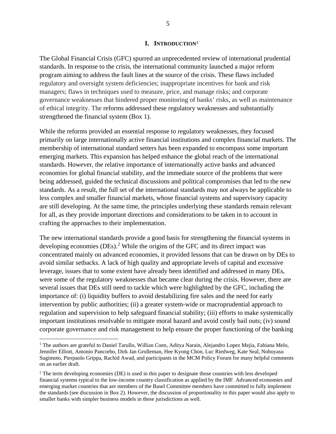#### **I. INTRODUCTION[1](#page-4-0)**

The Global Financial Crisis (GFC) spurred an unprecedented review of international prudential standards. In response to the crisis, the international community launched a major reform program aiming to address the fault lines at the source of the crisis. These flaws included regulatory and oversight system deficiencies; inappropriate incentives for bank and risk managers; flaws in techniques used to measure, price, and manage risks; and corporate governance weaknesses that hindered proper monitoring of banks' risks, as well as maintenance of ethical integrity. The reforms addressed these regulatory weaknesses and substantially strengthened the financial system (Box 1).

While the reforms provided an essential response to regulatory weaknesses, they focused primarily on large internationally active financial institutions and complex financial markets. The membership of international standard setters has been expanded to encompass some important emerging markets. This expansion has helped enhance the global reach of the international standards. However, the relative importance of internationally active banks and advanced economies for global financial stability, and the immediate source of the problems that were being addressed, guided the technical discussions and political compromises that led to the new standards. As a result, the full set of the international standards may not always be applicable to less complex and smaller financial markets, whose financial systems and supervisory capacity are still developing. At the same time, the principles underlying these standards remain relevant for all, as they provide important directions and considerations to be taken in to account in crafting the approaches to their implementation.

The new international standards provide a good basis for strengthening the financial systems in developing economies (DEs). [2](#page-4-1) While the origins of the GFC and its direct impact was concentrated mainly on advanced economies, it provided lessons that can be drawn on by DEs to avoid similar setbacks. A lack of high quality and appropriate levels of capital and excessive leverage, issues that to some extent have already been identified and addressed in many DEs, were some of the regulatory weaknesses that became clear during the crisis. However, there are several issues that DEs still need to tackle which were highlighted by the GFC, including the importance of: (i) liquidity buffers to avoid destabilizing fire sales and the need for early intervention by public authorities; (ii) a greater system-wide or macroprudential approach to regulation and supervision to help safeguard financial stability; (iii) efforts to make systemically important institutions resolvable to mitigate moral hazard and avoid costly bail outs; (iv) sound corporate governance and risk management to help ensure the proper functioning of the banking

<span id="page-4-0"></span><sup>&</sup>lt;sup>1</sup> The authors are grateful to Daniel Tarullo, Willian Coen, Aditya Narain, Alejandro Lopez Mejia, Fabiana Melo, Jennifer Elliott, Antonio Pancorbo, Dirk Jan Grolleman, Hee Kyong Chon, Luc Riedweg, Kate Seal, Nobuyasu Sugimoto, Pierpaolo Grippa, Rachid Awad, and participants in the MCM Policy Forum for many helpful comments on an earlier draft.

<span id="page-4-1"></span><sup>&</sup>lt;sup>2</sup> The term developing economies (DE) is used in this paper to designate those countries with less developed financial systems typical to the low-income country classification as applied by the IMF. Advanced economies and emerging market countries that are members of the Basel Committee members have committed to fully implement the standards (see discussion in Box 2). However, the discussion of proportionality in this paper would also apply to smaller banks with simpler business models in these jurisdictions as well.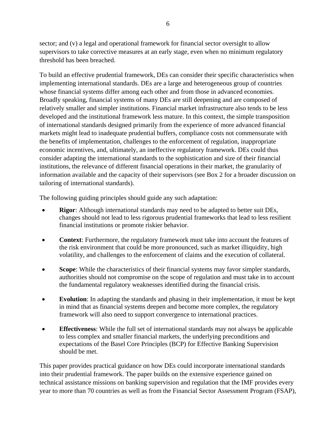sector; and (v) a legal and operational framework for financial sector oversight to allow supervisors to take corrective measures at an early stage, even when no minimum regulatory threshold has been breached.

To build an effective prudential framework, DEs can consider their specific characteristics when implementing international standards. DEs are a large and heterogeneous group of countries whose financial systems differ among each other and from those in advanced economies. Broadly speaking, financial systems of many DEs are still deepening and are composed of relatively smaller and simpler institutions. Financial market infrastructure also tends to be less developed and the institutional framework less mature. In this context, the simple transposition of international standards designed primarily from the experience of more advanced financial markets might lead to inadequate prudential buffers, compliance costs not commensurate with the benefits of implementation, challenges to the enforcement of regulation, inappropriate economic incentives, and, ultimately, an ineffective regulatory framework. DEs could thus consider adapting the international standards to the sophistication and size of their financial institutions, the relevance of different financial operations in their market, the granularity of information available and the capacity of their supervisors (see Box 2 for a broader discussion on tailoring of international standards).

The following guiding principles should guide any such adaptation:

- **Rigor**: Although international standards may need to be adapted to better suit DEs, changes should not lead to less rigorous prudential frameworks that lead to less resilient financial institutions or promote riskier behavior.
- **Context:** Furthermore, the regulatory framework must take into account the features of the risk environment that could be more pronounced, such as market illiquidity, high volatility, and challenges to the enforcement of claims and the execution of collateral.
- **Scope**: While the characteristics of their financial systems may favor simpler standards, authorities should not compromise on the scope of regulation and must take in to account the fundamental regulatory weaknesses identified during the financial crisis.
- **Evolution**: In adapting the standards and phasing in their implementation, it must be kept in mind that as financial systems deepen and become more complex, the regulatory framework will also need to support convergence to international practices.
- **Effectiveness**: While the full set of international standards may not always be applicable to less complex and smaller financial markets, the underlying preconditions and expectations of the Basel Core Principles (BCP) for Effective Banking Supervision should be met.

This paper provides practical guidance on how DEs could incorporate international standards into their prudential framework. The paper builds on the extensive experience gained on technical assistance missions on banking supervision and regulation that the IMF provides every year to more than 70 countries as well as from the Financial Sector Assessment Program (FSAP),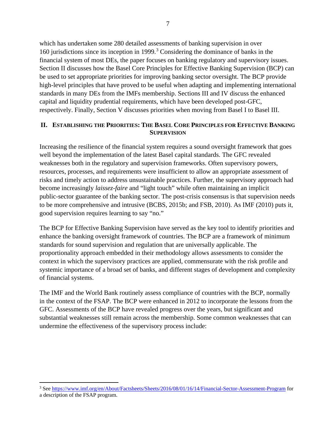which has undertaken some 280 detailed assessments of banking supervision in over 160 jurisdictions since its inception in 1999.[3](#page-6-0) Considering the dominance of banks in the financial system of most DEs, the paper focuses on banking regulatory and supervisory issues. Section II discusses how the Basel Core Principles for Effective Banking Supervision (BCP) can be used to set appropriate priorities for improving banking sector oversight. The BCP provide high-level principles that have proved to be useful when adapting and implementing international standards in many DEs from the IMFs membership. Sections III and IV discuss the enhanced capital and liquidity prudential requirements, which have been developed post-GFC, respectively. Finally, Section V discusses priorities when moving from Basel I to Basel III.

#### **II. ESTABLISHING THE PRIORITIES: THE BASEL CORE PRINCIPLES FOR EFFECTIVE BANKING SUPERVISION**

Increasing the resilience of the financial system requires a sound oversight framework that goes well beyond the implementation of the latest Basel capital standards. The GFC revealed weaknesses both in the regulatory and supervision frameworks. Often supervisory powers, resources, processes, and requirements were insufficient to allow an appropriate assessment of risks and timely action to address unsustainable practices. Further, the supervisory approach had become increasingly *laissez-faire* and "light touch" while often maintaining an implicit public-sector guarantee of the banking sector. The post-crisis consensus is that supervision needs to be more comprehensive and intrusive (BCBS, 2015b; and FSB, 2010). As IMF (2010) puts it, good supervision requires learning to say "no."

The BCP for Effective Banking Supervision have served as the key tool to identify priorities and enhance the banking oversight framework of countries. The BCP are a framework of minimum standards for sound supervision and regulation that are universally applicable. The proportionality approach embedded in their methodology allows assessments to consider the context in which the supervisory practices are applied, commensurate with the risk profile and systemic importance of a broad set of banks, and different stages of development and complexity of financial systems.

The IMF and the World Bank routinely assess compliance of countries with the BCP, normally in the context of the FSAP. The BCP were enhanced in 2012 to incorporate the lessons from the GFC. Assessments of the BCP have revealed progress over the years, but significant and substantial weaknesses still remain across the membership. Some common weaknesses that can undermine the effectiveness of the supervisory process include:

<span id="page-6-0"></span> <sup>3</sup> Se[e https://www.imf.org/en/About/Factsheets/Sheets/2016/08/01/16/14/Financial-Sector-Assessment-Program](https://www.imf.org/en/About/Factsheets/Sheets/2016/08/01/16/14/Financial-Sector-Assessment-Program) for a description of the FSAP program.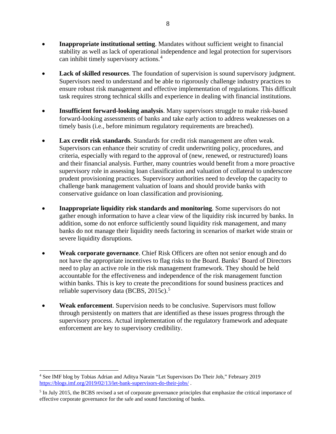- **Inappropriate institutional setting**. Mandates without sufficient weight to financial stability as well as lack of operational independence and legal protection for supervisors can inhibit timely supervisory actions.[4](#page-7-0)
- **Lack of skilled resources**. The foundation of supervision is sound supervisory judgment. Supervisors need to understand and be able to rigorously challenge industry practices to ensure robust risk management and effective implementation of regulations. This difficult task requires strong technical skills and experience in dealing with financial institutions.
- **Insufficient forward-looking analysis**. Many supervisors struggle to make risk-based forward-looking assessments of banks and take early action to address weaknesses on a timely basis (i.e., before minimum regulatory requirements are breached).
- **Lax credit risk standards**. Standards for credit risk management are often weak. Supervisors can enhance their scrutiny of credit underwriting policy, procedures, and criteria, especially with regard to the approval of (new, renewed, or restructured) loans and their financial analysis. Further, many countries would benefit from a more proactive supervisory role in assessing loan classification and valuation of collateral to underscore prudent provisioning practices. Supervisory authorities need to develop the capacity to challenge bank management valuation of loans and should provide banks with conservative guidance on loan classification and provisioning.
- **Inappropriate liquidity risk standards and monitoring**. Some supervisors do not gather enough information to have a clear view of the liquidity risk incurred by banks. In addition, some do not enforce sufficiently sound liquidity risk management, and many banks do not manage their liquidity needs factoring in scenarios of market wide strain or severe liquidity disruptions.
- **Weak corporate governance**. Chief Risk Officers are often not senior enough and do not have the appropriate incentives to flag risks to the Board. Banks' Board of Directors need to play an active role in the risk management framework. They should be held accountable for the effectiveness and independence of the risk management function within banks. This is key to create the preconditions for sound business practices and reliable supervisory data (BCBS, 201[5](#page-7-1)c).<sup>5</sup>
- **Weak enforcement**. Supervision needs to be conclusive. Supervisors must follow through persistently on matters that are identified as these issues progress through the supervisory process. Actual implementation of the regulatory framework and adequate enforcement are key to supervisory credibility.

<span id="page-7-0"></span> <sup>4</sup> See IMF blog by Tobias Adrian and Aditya Narain "Let Supervisors Do Their Job," February 2019 <https://blogs.imf.org/2019/02/13/let-bank-supervisors-do-their-jobs/> .

<span id="page-7-1"></span><sup>&</sup>lt;sup>5</sup> In July 2015, the BCBS revised a set of corporate governance principles that emphasize the critical importance of effective corporate governance for the safe and sound functioning of banks.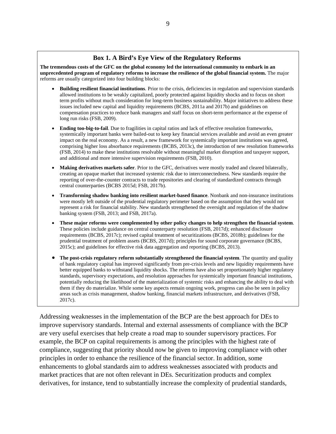#### **Box 1. A Bird's Eye View of the Regulatory Reforms**

**The tremendous costs of the GFC on the global economy led the international community to embark in an unprecedented program of regulatory reforms to increase the resilience of the global financial system.** The major reforms are usually categorized into four building blocks:

- **Building resilient financial institutions**. Prior to the crisis, deficiencies in regulation and supervision standards allowed institutions to be weakly capitalized, poorly protected against liquidity shocks and to focus on short term profits without much consideration for long-term business sustainability. Major initiatives to address these issues included new capital and liquidity requirements (BCBS, 2011a and 2017b) and guidelines on compensation practices to reduce bank managers and staff focus on short-term performance at the expense of long run risks (FSB, 2009).
- **Ending too-big-to-fail**. Due to fragilities in capital ratios and lack of effective resolution frameworks, systemically important banks were bailed-out to keep key financial services available and avoid an even greater impact on the real economy. As a result, a new framework for systemically important institutions was agreed, comprising higher loss absorbance requirements (BCBS, 2013c), the introduction of new resolution frameworks (FSB, 2014) to make these institutions resolvable without meaningful market disruption and taxpayer support, and additional and more intensive supervision requirements (FSB, 2010).
- **Making derivatives markets safer**. Prior to the GFC, derivatives were mostly traded and cleared bilaterally, creating an opaque market that increased systemic risk due to interconnectedness. New standards require the reporting of over-the-counter contracts to trade repositories and clearing of standardized contracts through central counterparties (BCBS 2015d; FSB, 2017b).
- **Transforming shadow banking into resilient market-based finance**. Nonbank and non-insurance institutions were mostly left outside of the prudential regulatory perimeter based on the assumption that they would not represent a risk for financial stability. New standards strengthened the oversight and regulation of the shadow banking system (FSB, 2013; and FSB, 2017a).
- **These major reforms were complemented by other policy changes to help strengthen the financial system**. These policies include guidance on central counterparty resolution (FSB, 2017d); enhanced disclosure requirements (BCBS, 2017c); revised capital treatment of securitizations (BCBS, 2018b); guidelines for the prudential treatment of problem assets (BCBS, 2017d); principles for sound corporate governance (BCBS, 2015c); and guidelines for effective risk data aggregation and reporting (BCBS, 2013).
- **The post-crisis regulatory reform substantially strengthened the financial system**. The quantity and quality of bank regulatory capital has improved significantly from pre-crisis levels and new liquidity requirements have better equipped banks to withstand liquidity shocks. The reforms have also set proportionately higher regulatory standards, supervisory expectations, and resolution approaches for systemically important financial institutions, potentially reducing the likelihood of the materialization of systemic risks and enhancing the ability to deal with them if they do materialize. While some key aspects remain ongoing work, progress can also be seen in policy areas such as crisis management, shadow banking, financial markets infrastructure, and derivatives (FSB, 2017c).

Addressing weaknesses in the implementation of the BCP are the best approach for DEs to improve supervisory standards. Internal and external assessments of compliance with the BCP are very useful exercises that help create a road map to sounder supervisory practices. For example, the BCP on capital requirements is among the principles with the highest rate of compliance, suggesting that priority should now be given to improving compliance with other principles in order to enhance the resilience of the financial sector. In addition, some enhancements to global standards aim to address weaknesses associated with products and market practices that are not often relevant in DEs. Securitization products and complex derivatives, for instance, tend to substantially increase the complexity of prudential standards,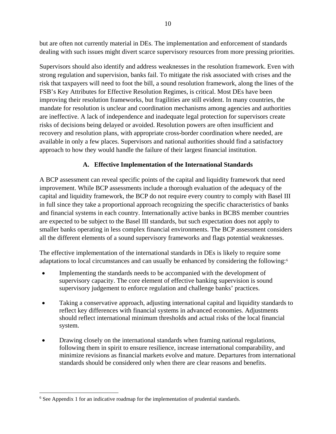but are often not currently material in DEs. The implementation and enforcement of standards dealing with such issues might divert scarce supervisory resources from more pressing priorities.

Supervisors should also identify and address weaknesses in the resolution framework. Even with strong regulation and supervision, banks fail. To mitigate the risk associated with crises and the risk that taxpayers will need to foot the bill, a sound resolution framework, along the lines of the FSB's Key Attributes for Effective Resolution Regimes, is critical. Most DEs have been improving their resolution frameworks, but fragilities are still evident. In many countries, the mandate for resolution is unclear and coordination mechanisms among agencies and authorities are ineffective. A lack of independence and inadequate legal protection for supervisors create risks of decisions being delayed or avoided. Resolution powers are often insufficient and recovery and resolution plans, with appropriate cross-border coordination where needed, are available in only a few places. Supervisors and national authorities should find a satisfactory approach to how they would handle the failure of their largest financial institution.

## **A. Effective Implementation of the International Standards**

A BCP assessment can reveal specific points of the capital and liquidity framework that need improvement. While BCP assessments include a thorough evaluation of the adequacy of the capital and liquidity framework, the BCP do not require every country to comply with Basel III in full since they take a proportional approach recognizing the specific characteristics of banks and financial systems in each country. Internationally active banks in BCBS member countries are expected to be subject to the Basel III standards, but such expectation does not apply to smaller banks operating in less complex financial environments. The BCP assessment considers all the different elements of a sound supervisory frameworks and flags potential weaknesses.

The effective implementation of the international standards in DEs is likely to require some adaptations to local circumstances and can usually be enhanced by considering the following:[6](#page-9-0)

- Implementing the standards needs to be accompanied with the development of supervisory capacity. The core element of effective banking supervision is sound supervisory judgement to enforce regulation and challenge banks' practices.
- Taking a conservative approach, adjusting international capital and liquidity standards to reflect key differences with financial systems in advanced economies. Adjustments should reflect international minimum thresholds and actual risks of the local financial system.
- Drawing closely on the international standards when framing national regulations, following them in spirit to ensure resilience, increase international comparability, and minimize revisions as financial markets evolve and mature. Departures from international standards should be considered only when there are clear reasons and benefits.

<span id="page-9-0"></span> <sup>6</sup> See Appendix 1 for an indicative roadmap for the implementation of prudential standards.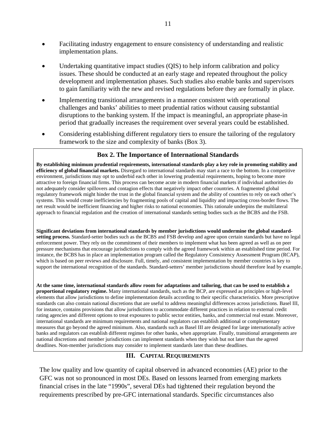- Facilitating industry engagement to ensure consistency of understanding and realistic implementation plans.
- Undertaking quantitative impact studies (QIS) to help inform calibration and policy issues. These should be conducted at an early stage and repeated throughout the policy development and implementation phases. Such studies also enable banks and supervisors to gain familiarity with the new and revised regulations before they are formally in place.
- Implementing transitional arrangements in a manner consistent with operational challenges and banks' abilities to meet prudential ratios without causing substantial disruptions to the banking system. If the impact is meaningful, an appropriate phase-in period that gradually increases the requirement over several years could be established.
- Considering establishing different regulatory tiers to ensure the tailoring of the regulatory framework to the size and complexity of banks (Box 3).

## **Box 2. The Importance of International Standards**

**By establishing minimum prudential requirements, international standards play a key role in promoting stability and efficiency of global financial markets.** Disregard to international standards may start a race to the bottom. In a competitive environment, jurisdictions may opt to underbid each other in lowering prudential requirements, hoping to become more attractive to foreign financial firms. This process can become acute in modern financial markets if individual authorities do not adequately consider spillovers and contagion effects that negatively impact other countries. A fragmented global regulatory framework might hinder the trust in the global financial system and the ability of countries to rely on each other's systems. This would create inefficiencies by fragmenting pools of capital and liquidity and impacting cross-border flows. The net result would be inefficient financing and higher risks to national economies. This rationale underpins the multilateral approach to financial regulation and the creation of international standards setting bodies such as the BCBS and the FSB.

**Significant deviations from international standards by member jurisdictions would undermine the global standardsetting process.** Standard-setter bodies such as the BCBS and FSB develop and agree upon certain standards but have no legal enforcement power. They rely on the commitment of their members to implement what has been agreed as well as on peer pressure mechanisms that encourage jurisdictions to comply with the agreed framework within an established time period. For instance, the BCBS has in place an implementation program called the Regulatory Consistency Assessment Program (RCAP), which is based on peer reviews and disclosure. Full, timely, and consistent implementation by member countries is key to support the international recognition of the standards. Standard-setters' member jurisdictions should therefore lead by example.

**At the same time, international standards allow room for adaptations and tailoring, that can be used to establish a proportional regulatory regime.** Many international standards, such as the BCP, are expressed as principles or high-level elements that allow jurisdictions to define implementation details according to their specific characteristics. More prescriptive standards can also contain national discretions that are useful to address meaningful differences across jurisdictions. Basel III, for instance, contains provisions that allow jurisdictions to accommodate different practices in relation to external credit rating agencies and different options to treat exposures to public sector entities, banks, and commercial real estate. Moreover, international standards are minimum requirements and national regulators can establish additional or complementary measures that go beyond the agreed minimum. Also, standards such as Basel III are designed for large internationally active banks and regulators can establish different regimes for other banks, when appropriate. Finally, transitional arrangements are national discretions and member jurisdictions can implement standards when they wish but not later than the agreed deadlines. Non-member jurisdictions may consider to implement standards later than these deadlines.

## **III. CAPITAL REQUIREMENTS**

The low quality and low quantity of capital observed in advanced economies (AE) prior to the GFC was not so pronounced in most DEs. Based on lessons learned from emerging markets financial crises in the late "1990s", several DEs had tightened their regulation beyond the requirements prescribed by pre-GFC international standards. Specific circumstances also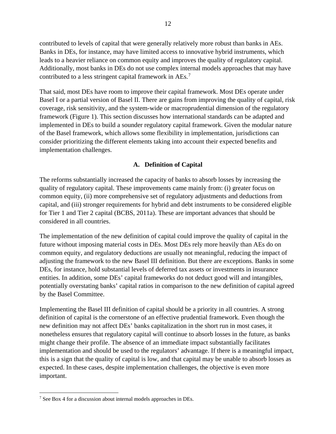contributed to levels of capital that were generally relatively more robust than banks in AEs. Banks in DEs, for instance, may have limited access to innovative hybrid instruments, which leads to a heavier reliance on common equity and improves the quality of regulatory capital. Additionally, most banks in DEs do not use complex internal models approaches that may have contributed to a less stringent capital framework in AEs.<sup>[7](#page-11-0)</sup>

That said, most DEs have room to improve their capital framework. Most DEs operate under Basel I or a partial version of Basel II. There are gains from improving the quality of capital, risk coverage, risk sensitivity, and the system-wide or macroprudential dimension of the regulatory framework (Figure 1). This section discusses how international standards can be adapted and implemented in DEs to build a sounder regulatory capital framework. Given the modular nature of the Basel framework, which allows some flexibility in implementation, jurisdictions can consider prioritizing the different elements taking into account their expected benefits and implementation challenges.

## **A. Definition of Capital**

The reforms substantially increased the capacity of banks to absorb losses by increasing the quality of regulatory capital. These improvements came mainly from: (i) greater focus on common equity, (ii) more comprehensive set of regulatory adjustments and deductions from capital, and (iii) stronger requirements for hybrid and debt instruments to be considered eligible for Tier 1 and Tier 2 capital (BCBS, 2011a). These are important advances that should be considered in all countries.

The implementation of the new definition of capital could improve the quality of capital in the future without imposing material costs in DEs. Most DEs rely more heavily than AEs do on common equity, and regulatory deductions are usually not meaningful, reducing the impact of adjusting the framework to the new Basel III definition. But there are exceptions. Banks in some DEs, for instance, hold substantial levels of deferred tax assets or investments in insurance entities. In addition, some DEs' capital frameworks do not deduct good will and intangibles, potentially overstating banks' capital ratios in comparison to the new definition of capital agreed by the Basel Committee.

Implementing the Basel III definition of capital should be a priority in all countries. A strong definition of capital is the cornerstone of an effective prudential framework. Even though the new definition may not affect DEs' banks capitalization in the short run in most cases, it nonetheless ensures that regulatory capital will continue to absorb losses in the future, as banks might change their profile. The absence of an immediate impact substantially facilitates implementation and should be used to the regulators' advantage. If there is a meaningful impact, this is a sign that the quality of capital is low, and that capital may be unable to absorb losses as expected. In these cases, despite implementation challenges, the objective is even more important.

<span id="page-11-0"></span> <sup>7</sup> See Box 4 for a discussion about internal models approaches in DEs.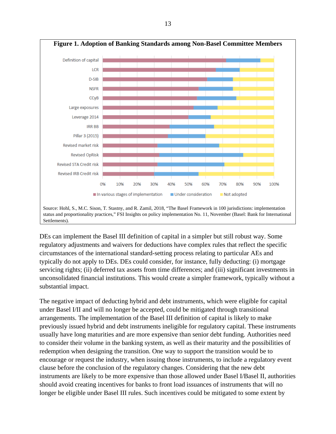

DEs can implement the Basel III definition of capital in a simpler but still robust way. Some regulatory adjustments and waivers for deductions have complex rules that reflect the specific circumstances of the international standard-setting process relating to particular AEs and typically do not apply to DEs. DEs could consider, for instance, fully deducting: (i) mortgage servicing rights; (ii) deferred tax assets from time differences; and (iii) significant investments in unconsolidated financial institutions. This would create a simpler framework, typically without a substantial impact.

The negative impact of deducting hybrid and debt instruments, which were eligible for capital under Basel I/II and will no longer be accepted, could be mitigated through transitional arrangements. The implementation of the Basel III definition of capital is likely to make previously issued hybrid and debt instruments ineligible for regulatory capital. These instruments usually have long maturities and are more expensive than senior debt funding. Authorities need to consider their volume in the banking system, as well as their maturity and the possibilities of redemption when designing the transition. One way to support the transition would be to encourage or request the industry, when issuing those instruments, to include a regulatory event clause before the conclusion of the regulatory changes. Considering that the new debt instruments are likely to be more expensive than those allowed under Basel I/Basel II, authorities should avoid creating incentives for banks to front load issuances of instruments that will no longer be eligible under Basel III rules. Such incentives could be mitigated to some extent by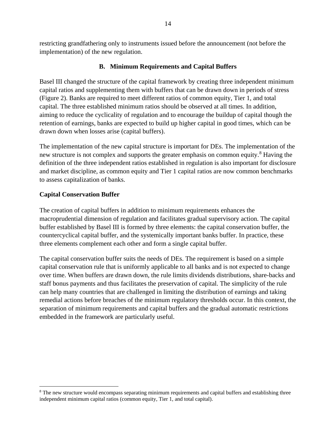restricting grandfathering only to instruments issued before the announcement (not before the implementation) of the new regulation.

#### **B. Minimum Requirements and Capital Buffers**

Basel III changed the structure of the capital framework by creating three independent minimum capital ratios and supplementing them with buffers that can be drawn down in periods of stress (Figure 2). Banks are required to meet different ratios of common equity, Tier 1, and total capital. The three established minimum ratios should be observed at all times. In addition, aiming to reduce the cyclicality of regulation and to encourage the buildup of capital though the retention of earnings, banks are expected to build up higher capital in good times, which can be drawn down when losses arise (capital buffers).

The implementation of the new capital structure is important for DEs. The implementation of the new structure is not complex and supports the greater emphasis on common equity.<sup>[8](#page-13-0)</sup> Having the definition of the three independent ratios established in regulation is also important for disclosure and market discipline, as common equity and Tier 1 capital ratios are now common benchmarks to assess capitalization of banks.

#### **Capital Conservation Buffer**

The creation of capital buffers in addition to minimum requirements enhances the macroprudential dimension of regulation and facilitates gradual supervisory action. The capital buffer established by Basel III is formed by three elements: the capital conservation buffer, the countercyclical capital buffer, and the systemically important banks buffer. In practice, these three elements complement each other and form a single capital buffer.

The capital conservation buffer suits the needs of DEs. The requirement is based on a simple capital conservation rule that is uniformly applicable to all banks and is not expected to change over time. When buffers are drawn down, the rule limits dividends distributions, share-backs and staff bonus payments and thus facilitates the preservation of capital. The simplicity of the rule can help many countries that are challenged in limiting the distribution of earnings and taking remedial actions before breaches of the minimum regulatory thresholds occur. In this context, the separation of minimum requirements and capital buffers and the gradual automatic restrictions embedded in the framework are particularly useful.

<span id="page-13-0"></span><sup>&</sup>lt;sup>8</sup> The new structure would encompass separating minimum requirements and capital buffers and establishing three independent minimum capital ratios (common equity, Tier 1, and total capital).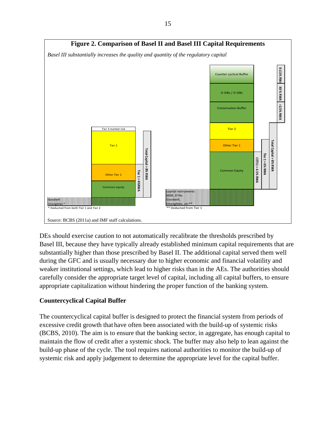

DEs should exercise caution to not automatically recalibrate the thresholds prescribed by Basel III, because they have typically already established minimum capital requirements that are substantially higher than those prescribed by Basel II. The additional capital served them well during the GFC and is usually necessary due to higher economic and financial volatility and weaker institutional settings, which lead to higher risks than in the AEs. The authorities should carefully consider the appropriate target level of capital, including all capital buffers, to ensure appropriate capitalization without hindering the proper function of the banking system.

## **Countercyclical Capital Buffer**

The countercyclical capital buffer is designed to protect the financial system from periods of excessive credit growth that have often been associated with the build-up of systemic risks (BCBS, 2010). The aim is to ensure that the banking sector, in aggregate, has enough capital to maintain the flow of credit after a systemic shock. The buffer may also help to lean against the build-up phase of the cycle. The tool requires national authorities to monitor the build-up of systemic risk and apply judgement to determine the appropriate level for the capital buffer.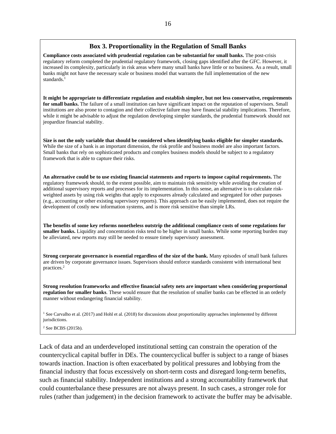#### **Box 3. Proportionality in the Regulation of Small Banks**

**Compliance costs associated with prudential regulation can be substantial for small banks.** The post-crisis regulatory reform completed the prudential regulatory framework, closing gaps identified after the GFC. However, it increased its complexity, particularly in risk areas where many small banks have little or no business. As a result, small banks might not have the necessary scale or business model that warrants the full implementation of the new standards.<sup>1</sup>

**It might be appropriate to differentiate regulation and establish simpler, but not less conservative, requirements for small banks.** The failure of a small institution can have significant impact on the reputation of supervisors. Small institutions are also prone to contagion and their collective failure may have financial stability implications. Therefore, while it might be advisable to adjust the regulation developing simpler standards, the prudential framework should not jeopardize financial stability.

**Size is not the only variable that should be considered when identifying banks eligible for simpler standards.**  While the size of a bank is an important dimension, the risk profile and business model are also important factors. Small banks that rely on sophisticated products and complex business models should be subject to a regulatory framework that is able to capture their risks.

**An alternative could be to use existing financial statements and reports to impose capital requirements.** The regulatory framework should, to the extent possible, aim to maintain risk sensitivity while avoiding the creation of additional supervisory reports and processes for its implementation. In this sense, an alternative is to calculate riskweighted assets by using risk weights that apply to exposures already calculated and segregated for other purposes (e.g., accounting or other existing supervisory reports). This approach can be easily implemented, does not require the development of costly new information systems, and is more risk sensitive than simple LRs.

**The benefits of some key reforms nonetheless outstrip the additional compliance costs of some regulations for smaller banks.** Liquidity and concentration risks tend to be higher in small banks. While some reporting burden may be alleviated, new reports may still be needed to ensure timely supervisory assessment.

**Strong corporate governance is essential regardless of the size of the bank.** Many episodes of small bank failures are driven by corporate governance issues. Supervisors should enforce standards consistent with international best practices.2

**Strong resolution frameworks and effective financial safety nets are important when considering proportional regulation for smaller banks**. These would ensure that the resolution of smaller banks can be effected in an orderly manner without endangering financial stability.

<sup>1</sup> See Carvalho et al. (2017) and Hohl et al. (2018) for discussions about proportionality approaches implemented by different jurisdictions.

<sup>2</sup> See BCBS (2015b).

Lack of data and an underdeveloped institutional setting can constrain the operation of the countercyclical capital buffer in DEs. The countercyclical buffer is subject to a range of biases towards inaction. Inaction is often exacerbated by political pressures and lobbying from the financial industry that focus excessively on short-term costs and disregard long-term benefits, such as financial stability. Independent institutions and a strong accountability framework that could counterbalance these pressures are not always present. In such cases, a stronger role for rules (rather than judgement) in the decision framework to activate the buffer may be advisable.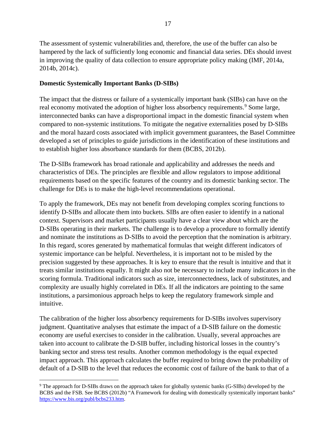The assessment of systemic vulnerabilities and, therefore, the use of the buffer can also be hampered by the lack of sufficiently long economic and financial data series. DEs should invest in improving the quality of data collection to ensure appropriate policy making (IMF, 2014a, 2014b, 2014c).

## **Domestic Systemically Important Banks (D-SIBs)**

The impact that the distress or failure of a systemically important bank (SIBs) can have on the real economy motivated the adoption of higher loss absorbency requirements.<sup>[9](#page-16-0)</sup> Some large, interconnected banks can have a disproportional impact in the domestic financial system when compared to non-systemic institutions. To mitigate the negative externalities posed by D-SIBs and the moral hazard costs associated with implicit government guarantees, the Basel Committee developed a set of principles to guide jurisdictions in the identification of these institutions and to establish higher loss absorbance standards for them (BCBS, 2012b).

The D-SIBs framework has broad rationale and applicability and addresses the needs and characteristics of DEs. The principles are flexible and allow regulators to impose additional requirements based on the specific features of the country and its domestic banking sector. The challenge for DEs is to make the high-level recommendations operational.

To apply the framework, DEs may not benefit from developing complex scoring functions to identify D-SIBs and allocate them into buckets. SIBs are often easier to identify in a national context. Supervisors and market participants usually have a clear view about which are the D-SIBs operating in their markets. The challenge is to develop a procedure to formally identify and nominate the institutions as D-SIBs to avoid the perception that the nomination is arbitrary. In this regard, scores generated by mathematical formulas that weight different indicators of systemic importance can be helpful. Nevertheless, it is important not to be misled by the precision suggested by these approaches. It is key to ensure that the result is intuitive and that it treats similar institutions equally. It might also not be necessary to include many indicators in the scoring formula. Traditional indicators such as size, interconnectedness, lack of substitutes, and complexity are usually highly correlated in DEs. If all the indicators are pointing to the same institutions, a parsimonious approach helps to keep the regulatory framework simple and intuitive.

The calibration of the higher loss absorbency requirements for D-SIBs involves supervisory judgment. Quantitative analyses that estimate the impact of a D-SIB failure on the domestic economy are useful exercises to consider in the calibration. Usually, several approaches are taken into account to calibrate the D-SIB buffer, including historical losses in the country's banking sector and stress test results. Another common methodology is the equal expected impact approach. This approach calculates the buffer required to bring down the probability of default of a D-SIB to the level that reduces the economic cost of failure of the bank to that of a

<span id="page-16-0"></span> <sup>9</sup> The approach for D-SIBs draws on the approach taken for globally systemic banks (G-SIBs) developed by the BCBS and the FSB. See BCBS (2012b) "A Framework for dealing with domestically systemically important banks" [https://www.bis.org/publ/bcbs233.htm.](https://www.bis.org/publ/bcbs233.htm)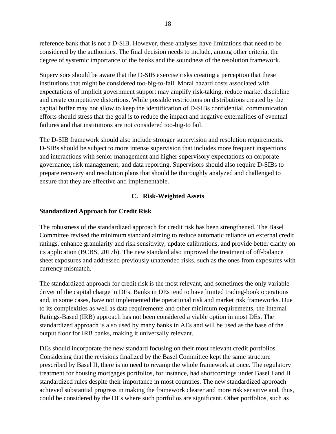reference bank that is not a D-SIB. However, these analyses have limitations that need to be considered by the authorities. The final decision needs to include, among other criteria, the degree of systemic importance of the banks and the soundness of the resolution framework.

Supervisors should be aware that the D-SIB exercise risks creating a perception that these institutions that might be considered too-big-to-fail. Moral hazard costs associated with expectations of implicit government support may amplify risk-taking, reduce market discipline and create competitive distortions. While possible restrictions on distributions created by the capital buffer may not allow to keep the identification of D-SIBs confidential, communication efforts should stress that the goal is to reduce the impact and negative externalities of eventual failures and that institutions are not considered too-big-to fail.

The D-SIB framework should also include stronger supervision and resolution requirements. D-SIBs should be subject to more intense supervision that includes more frequent inspections and interactions with senior management and higher supervisory expectations on corporate governance, risk management, and data reporting. Supervisors should also require D-SIBs to prepare recovery and resolution plans that should be thoroughly analyzed and challenged to ensure that they are effective and implementable.

## **C. Risk-Weighted Assets**

## **Standardized Approach for Credit Risk**

The robustness of the standardized approach for credit risk has been strengthened. The Basel Committee revised the minimum standard aiming to reduce automatic reliance on external credit ratings, enhance granularity and risk sensitivity, update calibrations, and provide better clarity on its application (BCBS, 2017b). The new standard also improved the treatment of off-balance sheet exposures and addressed previously unattended risks, such as the ones from exposures with currency mismatch.

The standardized approach for credit risk is the most relevant, and sometimes the only variable driver of the capital charge in DEs. Banks in DEs tend to have limited trading-book operations and, in some cases, have not implemented the operational risk and market risk frameworks. Due to its complexities as well as data requirements and other minimum requirements, the Internal Ratings-Based (IRB) approach has not been considered a viable option in most DEs. The standardized approach is also used by many banks in AEs and will be used as the base of the output floor for IRB banks, making it universally relevant.

DEs should incorporate the new standard focusing on their most relevant credit portfolios. Considering that the revisions finalized by the Basel Committee kept the same structure prescribed by Basel II, there is no need to revamp the whole framework at once. The regulatory treatment for housing mortgages portfolios, for instance, had shortcomings under Basel I and II standardized rules despite their importance in most countries. The new standardized approach achieved substantial progress in making the framework clearer and more risk sensitive and, thus, could be considered by the DEs where such portfolios are significant. Other portfolios, such as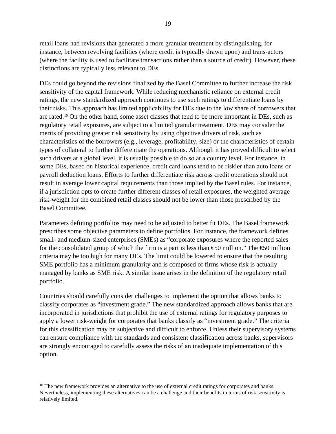retail loans had revisions that generated a more granular treatment by distinguishing, for instance, between revolving facilities (where credit is typically drawn upon) and trans-actors (where the facility is used to facilitate transactions rather than a source of credit). However, these distinctions are typically less relevant to DEs.

DEs could go beyond the revisions finalized by the Basel Committee to further increase the risk sensitivity of the capital framework. While reducing mechanistic reliance on external credit ratings, the new standardized approach continues to use such ratings to differentiate loans by their risks. This approach has limited applicability for DEs due to the low share of borrowers that are rated.[10](#page-18-0) On the other hand, some asset classes that tend to be more important in DEs, such as regulatory retail exposures, are subject to a limited granular treatment. DEs may consider the merits of providing greater risk sensitivity by using objective drivers of risk, such as characteristics of the borrowers (e.g., leverage, profitability, size) or the characteristics of certain types of collateral to further differentiate the operations. Although it has proved difficult to select such drivers at a global level, it is usually possible to do so at a country level. For instance, in some DEs, based on historical experience, credit card loans tend to be riskier than auto loans or payroll deduction loans. Efforts to further differentiate risk across credit operations should not result in average lower capital requirements than those implied by the Basel rules. For instance, if a jurisdiction opts to create further different classes of retail exposures, the weighted average risk-weight for the combined retail classes should not be lower than those prescribed by the Basel Committee.

Parameters defining portfolios may need to be adjusted to better fit DEs. The Basel framework prescribes some objective parameters to define portfolios. For instance, the framework defines small- and medium-sized enterprises (SMEs) as "corporate exposures where the reported sales for the consolidated group of which the firm is a part is less than  $\epsilon$ 50 million." The  $\epsilon$ 50 million criteria may be too high for many DEs. The limit could be lowered to ensure that the resulting SME portfolio has a minimum granularity and is composed of firms whose risk is actually managed by banks as SME risk. A similar issue arises in the definition of the regulatory retail portfolio.

Countries should carefully consider challenges to implement the option that allows banks to classify corporates as "investment grade." The new standardized approach allows banks that are incorporated in jurisdictions that prohibit the use of external ratings for regulatory purposes to apply a lower risk-weight for corporates that banks classify as "investment grade." The criteria for this classification may be subjective and difficult to enforce. Unless their supervisory systems can ensure compliance with the standards and consistent classification across banks, supervisors are strongly encouraged to carefully assess the risks of an inadequate implementation of this option.

<span id="page-18-0"></span><sup>&</sup>lt;sup>10</sup> The new framework provides an alternative to the use of external credit ratings for corporates and banks. Nevertheless, implementing these alternatives can be a challenge and their benefits in terms of risk sensitivity is relatively limited.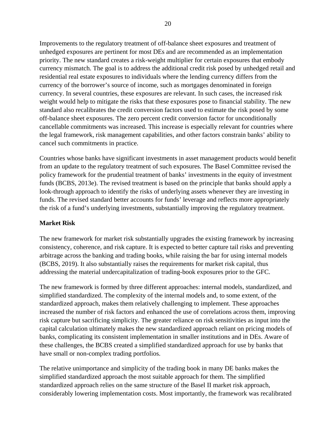Improvements to the regulatory treatment of off-balance sheet exposures and treatment of unhedged exposures are pertinent for most DEs and are recommended as an implementation priority. The new standard creates a risk-weight multiplier for certain exposures that embody currency mismatch. The goal is to address the additional credit risk posed by unhedged retail and residential real estate exposures to individuals where the lending currency differs from the currency of the borrower's source of income, such as mortgages denominated in foreign currency. In several countries, these exposures are relevant. In such cases, the increased risk weight would help to mitigate the risks that these exposures pose to financial stability. The new standard also recalibrates the credit conversion factors used to estimate the risk posed by some off-balance sheet exposures. The zero percent credit conversion factor for unconditionally cancellable commitments was increased. This increase is especially relevant for countries where the legal framework, risk management capabilities, and other factors constrain banks' ability to cancel such commitments in practice.

Countries whose banks have significant investments in asset management products would benefit from an update to the regulatory treatment of such exposures. The Basel Committee revised the policy framework for the prudential treatment of banks' investments in the equity of investment funds (BCBS, 2013e). The revised treatment is based on the principle that banks should apply a look-through approach to identify the risks of underlying assets whenever they are investing in funds. The revised standard better accounts for funds' leverage and reflects more appropriately the risk of a fund's underlying investments, substantially improving the regulatory treatment.

## **Market Risk**

The new framework for market risk substantially upgrades the existing framework by increasing consistency, coherence, and risk capture. It is expected to better capture tail risks and preventing arbitrage across the banking and trading books, while raising the bar for using internal models (BCBS, 2019). It also substantially raises the requirements for market risk capital, thus addressing the material undercapitalization of trading-book exposures prior to the GFC.

The new framework is formed by three different approaches: internal models, standardized, and simplified standardized. The complexity of the internal models and, to some extent, of the standardized approach, makes them relatively challenging to implement. These approaches increased the number of risk factors and enhanced the use of correlations across them, improving risk capture but sacrificing simplicity. The greater reliance on risk sensitivities as input into the capital calculation ultimately makes the new standardized approach reliant on pricing models of banks, complicating its consistent implementation in smaller institutions and in DEs. Aware of these challenges, the BCBS created a simplified standardized approach for use by banks that have small or non-complex trading portfolios.

The relative unimportance and simplicity of the trading book in many DE banks makes the simplified standardized approach the most suitable approach for them. The simplified standardized approach relies on the same structure of the Basel II market risk approach, considerably lowering implementation costs. Most importantly, the framework was recalibrated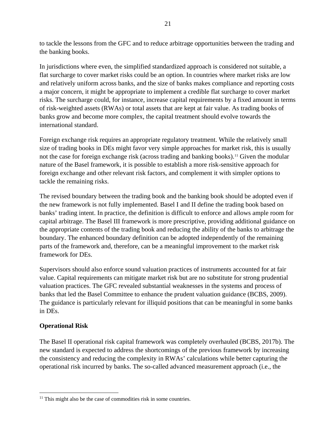to tackle the lessons from the GFC and to reduce arbitrage opportunities between the trading and the banking books.

In jurisdictions where even, the simplified standardized approach is considered not suitable, a flat surcharge to cover market risks could be an option. In countries where market risks are low and relatively uniform across banks, and the size of banks makes compliance and reporting costs a major concern, it might be appropriate to implement a credible flat surcharge to cover market risks. The surcharge could, for instance, increase capital requirements by a fixed amount in terms of risk-weighted assets (RWAs) or total assets that are kept at fair value. As trading books of banks grow and become more complex, the capital treatment should evolve towards the international standard.

Foreign exchange risk requires an appropriate regulatory treatment. While the relatively small size of trading books in DEs might favor very simple approaches for market risk, this is usually not the case for foreign exchange risk (across trading and banking books).<sup>[11](#page-20-0)</sup> Given the modular nature of the Basel framework, it is possible to establish a more risk-sensitive approach for foreign exchange and other relevant risk factors, and complement it with simpler options to tackle the remaining risks.

The revised boundary between the trading book and the banking book should be adopted even if the new framework is not fully implemented. Basel I and II define the trading book based on banks' trading intent. In practice, the definition is difficult to enforce and allows ample room for capital arbitrage. The Basel III framework is more prescriptive, providing additional guidance on the appropriate contents of the trading book and reducing the ability of the banks to arbitrage the boundary. The enhanced boundary definition can be adopted independently of the remaining parts of the framework and, therefore, can be a meaningful improvement to the market risk framework for DEs.

Supervisors should also enforce sound valuation practices of instruments accounted for at fair value. Capital requirements can mitigate market risk but are no substitute for strong prudential valuation practices. The GFC revealed substantial weaknesses in the systems and process of banks that led the Basel Committee to enhance the prudent valuation guidance (BCBS, 2009). The guidance is particularly relevant for illiquid positions that can be meaningful in some banks in DEs.

## **Operational Risk**

The Basel II operational risk capital framework was completely overhauled (BCBS, 2017b). The new standard is expected to address the shortcomings of the previous framework by increasing the consistency and reducing the complexity in RWAs' calculations while better capturing the operational risk incurred by banks. The so-called advanced measurement approach (i.e., the

<span id="page-20-0"></span> $11$  This might also be the case of commodities risk in some countries.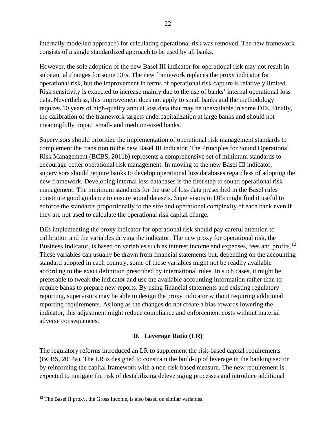internally modelled approach) for calculating operational risk was removed. The new framework consists of a single standardized approach to be used by all banks.

However, the sole adoption of the new Basel III indicator for operational risk may not result in substantial changes for some DEs. The new framework replaces the proxy indicator for operational risk, but the improvement in terms of operational risk capture is relatively limited. Risk sensitivity is expected to increase mainly due to the use of banks' internal operational loss data. Nevertheless, this improvement does not apply to small banks and the methodology requires 10 years of high-quality annual loss data that may be unavailable in some DEs. Finally, the calibration of the framework targets undercapitalization at large banks and should not meaningfully impact small- and medium-sized banks.

Supervisors should prioritize the implementation of operational risk management standards to complement the transition to the new Basel III indicator. The Principles for Sound Operational Risk Management (BCBS, 2011b) represents a comprehensive set of minimum standards to encourage better operational risk management. In moving to the new Basel III indicator, supervisors should require banks to develop operational loss databases regardless of adopting the new framework. Developing internal loss databases is the first step to sound operational risk management. The minimum standards for the use of loss data prescribed in the Basel rules constitute good guidance to ensure sound datasets. Supervisors in DEs might find it useful to enforce the standards proportionally to the size and operational complexity of each bank even if they are not used to calculate the operational risk capital charge.

DEs implementing the proxy indicator for operational risk should pay careful attention to calibration and the variables driving the indicator. The new proxy for operational risk, the Business Indicator, is based on variables such as interest income and expenses, fees and profits.<sup>[12](#page-21-0)</sup> These variables can usually be drawn from financial statements but, depending on the accounting standard adopted in each country, some of these variables might not be readily available according to the exact definition prescribed by international rules. In such cases, it might be preferable to tweak the indicator and use the available accounting information rather than to require banks to prepare new reports. By using financial statements and existing regulatory reporting, supervisors may be able to design the proxy indicator without requiring additional reporting requirements. As long as the changes do not create a bias towards lowering the indicator, this adjustment might reduce compliance and enforcement costs without material adverse consequences.

## **D. Leverage Ratio (LR)**

The regulatory reforms introduced an LR to supplement the risk-based capital requirements (BCBS, 2014a). The LR is designed to constrain the build-up of leverage in the banking sector by reinforcing the capital framework with a non-risk-based measure. The new requirement is expected to mitigate the risk of destabilizing deleveraging processes and introduce additional

<span id="page-21-0"></span> $12$  The Basel II proxy, the Gross Income, is also based on similar variables.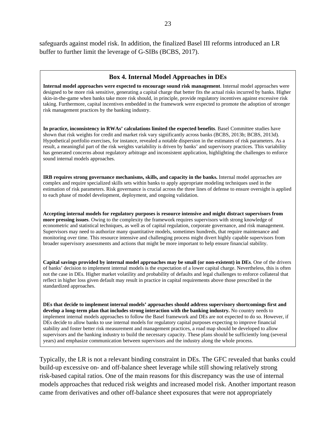safeguards against model risk. In addition, the finalized Basel III reforms introduced an LR buffer to further limit the leverage of G-SIBs (BCBS, 2017).

#### **Box 4. Internal Model Approaches in DEs**

**Internal model approaches were expected to encourage sound risk management**. Internal model approaches were designed to be more risk sensitive, generating a capital charge that better fits the actual risks incurred by banks. Higher skin-in-the-game when banks take more risk should, in principle, provide regulatory incentives against excessive risk taking. Furthermore, capital incentives embedded in the framework were expected to promote the adoption of stronger risk management practices by the banking industry.

**In practice, inconsistency in RWAs' calculations limited the expected benefits**. Basel Committee studies have shown that risk weights for credit and market risk vary significantly across banks (BCBS, 2013b; BCBS, 2013d). Hypothetical portfolio exercises, for instance, revealed a notable dispersion in the estimates of risk parameters. As a result, a meaningful part of the risk weights variability is driven by banks' and supervisory practices. This variability has generated concerns about regulatory arbitrage and inconsistent application, highlighting the challenges to enforce sound internal models approaches.

**IRB requires strong governance mechanisms, skills, and capacity in the banks.** Internal model approaches are complex and require specialized skills sets within banks to apply appropriate modeling techniques used in the estimation of risk parameters. Risk governance is crucial across the three lines of defense to ensure oversight is applied to each phase of model development, deployment, and ongoing validation.

**Accepting internal models for regulatory purposes is resource intensive and might distract supervisors from more pressing issues**. Owing to the complexity the framework requires supervisors with strong knowledge of econometric and statistical techniques, as well as of capital regulation, corporate governance, and risk management. Supervisors may need to authorize many quantitative models, sometimes hundreds, that require maintenance and monitoring over time. This resource intensive and challenging process might divert highly capable supervisors from broader supervisory assessments and actions that might be more important to help ensure financial stability.

**Capital savings provided by internal model approaches may be small (or non-existent) in DEs**. One of the drivers of banks' decision to implement internal models is the expectation of a lower capital charge. Nevertheless, this is often not the case in DEs. Higher market volatility and probability of defaults and legal challenges to enforce collateral that reflect in higher loss given default may result in practice in capital requirements above those prescribed in the standardized approaches.

**DEs that decide to implement internal models' approaches should address supervisory shortcomings first and develop a long-term plan that includes strong interaction with the banking industry.** No country needs to implement internal models approaches to follow the Basel framework and DEs are not expected to do so. However, if DEs decide to allow banks to use internal models for regulatory capital purposes expecting to improve financial stability and foster better risk measurement and management practices, a road map should be developed to allow supervisors and the banking industry to build the necessary capacity. These plans should be sufficiently long (several years) and emphasize communication between supervisors and the industry along the whole process.

Typically, the LR is not a relevant binding constraint in DEs. The GFC revealed that banks could build-up excessive on- and off-balance sheet leverage while still showing relatively strong risk-based capital ratios. One of the main reasons for this discrepancy was the use of internal models approaches that reduced risk weights and increased model risk. Another important reason came from derivatives and other off-balance sheet exposures that were not appropriately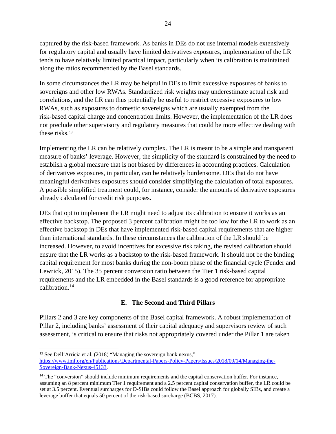captured by the risk-based framework. As banks in DEs do not use internal models extensively for regulatory capital and usually have limited derivatives exposures, implementation of the LR tends to have relatively limited practical impact, particularly when its calibration is maintained along the ratios recommended by the Basel standards.

In some circumstances the LR may be helpful in DEs to limit excessive exposures of banks to sovereigns and other low RWAs. Standardized risk weights may underestimate actual risk and correlations, and the LR can thus potentially be useful to restrict excessive exposures to low RWAs, such as exposures to domestic sovereigns which are usually exempted from the risk-based capital charge and concentration limits. However, the implementation of the LR does not preclude other supervisory and regulatory measures that could be more effective dealing with these risks.<sup>[13](#page-23-0)</sup>

Implementing the LR can be relatively complex. The LR is meant to be a simple and transparent measure of banks' leverage. However, the simplicity of the standard is constrained by the need to establish a global measure that is not biased by differences in accounting practices. Calculation of derivatives exposures, in particular, can be relatively burdensome. DEs that do not have meaningful derivatives exposures should consider simplifying the calculation of total exposures. A possible simplified treatment could, for instance, consider the amounts of derivative exposures already calculated for credit risk purposes.

DEs that opt to implement the LR might need to adjust its calibration to ensure it works as an effective backstop. The proposed 3 percent calibration might be too low for the LR to work as an effective backstop in DEs that have implemented risk-based capital requirements that are higher than international standards. In these circumstances the calibration of the LR should be increased. However, to avoid incentives for excessive risk taking, the revised calibration should ensure that the LR works as a backstop to the risk-based framework. It should not be the binding capital requirement for most banks during the non-boom phase of the financial cycle (Fender and Lewrick, 2015). The 35 percent conversion ratio between the Tier 1 risk-based capital requirements and the LR embedded in the Basel standards is a good reference for appropriate calibration.[14](#page-23-1)

## **E. The Second and Third Pillars**

Pillars 2 and 3 are key components of the Basel capital framework. A robust implementation of Pillar 2, including banks' assessment of their capital adequacy and supervisors review of such assessment, is critical to ensure that risks not appropriately covered under the Pillar 1 are taken

<span id="page-23-0"></span><sup>&</sup>lt;sup>13</sup> See Dell'Arricia et al. (2018) "Managing the sovereign bank nexus,"

[https://www.imf.org/en/Publications/Departmental-Papers-Policy-Papers/Issues/2018/09/14/Managing-the-](https://www.imf.org/en/Publications/Departmental-Papers-Policy-Papers/Issues/2018/09/14/Managing-the-Sovereign-Bank-Nexus-45133)[Sovereign-Bank-Nexus-45133.](https://www.imf.org/en/Publications/Departmental-Papers-Policy-Papers/Issues/2018/09/14/Managing-the-Sovereign-Bank-Nexus-45133)

<span id="page-23-1"></span><sup>&</sup>lt;sup>14</sup> The "conversion" should include minimum requirements and the capital conservation buffer. For instance, assuming an 8 percent minimum Tier 1 requirement and a 2.5 percent capital conservation buffer, the LR could be set at 3.5 percent. Eventual surcharges for D-SIBs could follow the Basel approach for globally SIBs, and create a leverage buffer that equals 50 percent of the risk-based surcharge (BCBS, 2017).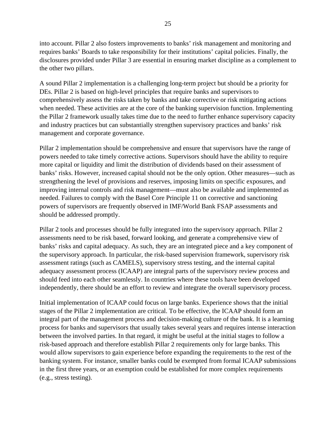into account. Pillar 2 also fosters improvements to banks' risk management and monitoring and requires banks' Boards to take responsibility for their institutions' capital policies. Finally, the disclosures provided under Pillar 3 are essential in ensuring market discipline as a complement to the other two pillars.

A sound Pillar 2 implementation is a challenging long-term project but should be a priority for DEs. Pillar 2 is based on high-level principles that require banks and supervisors to comprehensively assess the risks taken by banks and take corrective or risk mitigating actions when needed. These activities are at the core of the banking supervision function. Implementing the Pillar 2 framework usually takes time due to the need to further enhance supervisory capacity and industry practices but can substantially strengthen supervisory practices and banks' risk management and corporate governance.

Pillar 2 implementation should be comprehensive and ensure that supervisors have the range of powers needed to take timely corrective actions. Supervisors should have the ability to require more capital or liquidity and limit the distribution of dividends based on their assessment of banks' risks. However, increased capital should not be the only option. Other measures—such as strengthening the level of provisions and reserves, imposing limits on specific exposures, and improving internal controls and risk management—must also be available and implemented as needed. Failures to comply with the Basel Core Principle 11 on corrective and sanctioning powers of supervisors are frequently observed in IMF/World Bank FSAP assessments and should be addressed promptly.

Pillar 2 tools and processes should be fully integrated into the supervisory approach. Pillar 2 assessments need to be risk based, forward looking, and generate a comprehensive view of banks' risks and capital adequacy. As such, they are an integrated piece and a key component of the supervisory approach. In particular, the risk-based supervision framework, supervisory risk assessment ratings (such as CAMELS), supervisory stress testing, and the internal capital adequacy assessment process (ICAAP) are integral parts of the supervisory review process and should feed into each other seamlessly. In countries where these tools have been developed independently, there should be an effort to review and integrate the overall supervisory process.

Initial implementation of ICAAP could focus on large banks. Experience shows that the initial stages of the Pillar 2 implementation are critical. To be effective, the ICAAP should form an integral part of the management process and decision-making culture of the bank. It is a learning process for banks and supervisors that usually takes several years and requires intense interaction between the involved parties. In that regard, it might be useful at the initial stages to follow a risk-based approach and therefore establish Pillar 2 requirements only for large banks. This would allow supervisors to gain experience before expanding the requirements to the rest of the banking system. For instance, smaller banks could be exempted from formal ICAAP submissions in the first three years, or an exemption could be established for more complex requirements (e.g., stress testing).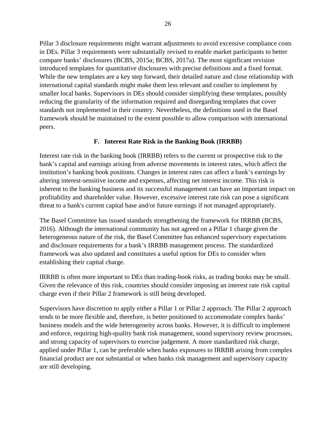Pillar 3 disclosure requirements might warrant adjustments to avoid excessive compliance costs in DEs. Pillar 3 requirements were substantially revised to enable market participants to better compare banks' disclosures (BCBS, 2015a; BCBS, 2017a). The most significant revision introduced templates for quantitative disclosures with precise definitions and a fixed format. While the new templates are a key step forward, their detailed nature and close relationship with international capital standards might make them less relevant and costlier to implement by smaller local banks. Supervisors in DEs should consider simplifying these templates, possibly reducing the granularity of the information required and disregarding templates that cover standards not implemented in their country. Nevertheless, the definitions used in the Basel framework should be maintained to the extent possible to allow comparison with international peers.

## **F. Interest Rate Risk in the Banking Book (IRRBB)**

Interest rate risk in the banking book (IRRBB) refers to the current or prospective risk to the bank's capital and earnings arising from adverse movements in interest rates, which affect the institution's banking book positions. Changes in interest rates can affect a bank's earnings by altering interest-sensitive income and expenses, affecting net interest income. This risk is inherent to the banking business and its successful management can have an important impact on profitability and shareholder value. However, excessive interest rate risk can pose a significant threat to a bank's current capital base and/or future earnings if not managed appropriately.

The Basel Committee has issued standards strengthening the framework for IRRBB (BCBS, 2016). Although the international community has not agreed on a Pillar 1 charge given the heterogeneous nature of the risk, the Basel Committee has enhanced supervisory expectations and disclosure requirements for a bank's IRRBB management process. The standardized framework was also updated and constitutes a useful option for DEs to consider when establishing their capital charge.

IRRBB is often more important to DEs than trading-book risks, as trading books may be small. Given the relevance of this risk, countries should consider imposing an interest rate risk capital charge even if their Pillar 2 framework is still being developed.

Supervisors have discretion to apply either a Pillar 1 or Pillar 2 approach. The Pillar 2 approach tends to be more flexible and, therefore, is better positioned to accommodate complex banks' business models and the wide heterogeneity across banks. However, it is difficult to implement and enforce, requiring high-quality bank risk management, sound supervisory review processes, and strong capacity of supervisors to exercise judgement. A more standardized risk charge, applied under Pillar 1, can be preferable when banks exposures to IRRBB arising from complex financial product are not substantial or when banks risk management and supervisory capacity are still developing.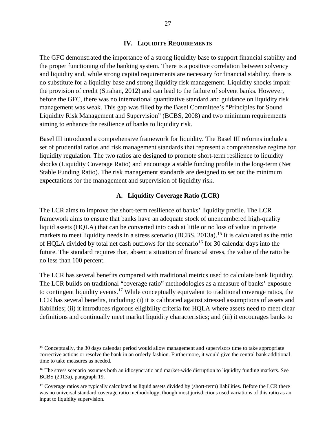#### **IV. LIQUIDITY REQUIREMENTS**

The GFC demonstrated the importance of a strong liquidity base to support financial stability and the proper functioning of the banking system. There is a positive correlation between solvency and liquidity and, while strong capital requirements are necessary for financial stability, there is no substitute for a liquidity base and strong liquidity risk management. Liquidity shocks impair the provision of credit (Strahan, 2012) and can lead to the failure of solvent banks. However, before the GFC, there was no international quantitative standard and guidance on liquidity risk management was weak. This gap was filled by the Basel Committee's "Principles for Sound Liquidity Risk Management and Supervision" (BCBS, 2008) and two minimum requirements aiming to enhance the resilience of banks to liquidity risk.

Basel III introduced a comprehensive framework for liquidity. The Basel III reforms include a set of prudential ratios and risk management standards that represent a comprehensive regime for liquidity regulation. The two ratios are designed to promote short-term resilience to liquidity shocks (Liquidity Coverage Ratio) and encourage a stable funding profile in the long-term (Net Stable Funding Ratio). The risk management standards are designed to set out the minimum expectations for the management and supervision of liquidity risk.

#### **A. Liquidity Coverage Ratio (LCR)**

The LCR aims to improve the short-term resilience of banks' liquidity profile. The LCR framework aims to ensure that banks have an adequate stock of unencumbered high-quality liquid assets (HQLA) that can be converted into cash at little or no loss of value in private markets to meet liquidity needs in a stress scenario (BCBS, 2013a).<sup>[15](#page-26-0)</sup> It is calculated as the ratio of HQLA divided by total net cash outflows for the scenario<sup>[16](#page-26-1)</sup> for 30 calendar days into the future. The standard requires that, absent a situation of financial stress, the value of the ratio be no less than 100 percent.

The LCR has several benefits compared with traditional metrics used to calculate bank liquidity. The LCR builds on traditional "coverage ratio" methodologies as a measure of banks' exposure to contingent liquidity events.<sup>[17](#page-26-2)</sup> While conceptually equivalent to traditional coverage ratios, the LCR has several benefits, including: (i) it is calibrated against stressed assumptions of assets and liabilities; (ii) it introduces rigorous eligibility criteria for HQLA where assets need to meet clear definitions and continually meet market liquidity characteristics; and (iii) it encourages banks to

<span id="page-26-0"></span><sup>&</sup>lt;sup>15</sup> Conceptually, the 30 days calendar period would allow management and supervisors time to take appropriate corrective actions or resolve the bank in an orderly fashion. Furthermore, it would give the central bank additional time to take measures as needed.

<span id="page-26-1"></span><sup>&</sup>lt;sup>16</sup> The stress scenario assumes both an idiosyncratic and market-wide disruption to liquidity funding markets. See BCBS (2013a), paragraph 19.

<span id="page-26-2"></span><sup>&</sup>lt;sup>17</sup> Coverage ratios are typically calculated as liquid assets divided by (short-term) liabilities. Before the LCR there was no universal standard coverage ratio methodology, though most jurisdictions used variations of this ratio as an input to liquidity supervision.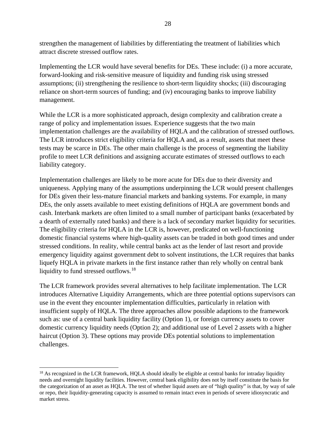strengthen the management of liabilities by differentiating the treatment of liabilities which attract discrete stressed outflow rates.

Implementing the LCR would have several benefits for DEs. These include: (i) a more accurate, forward-looking and risk-sensitive measure of liquidity and funding risk using stressed assumptions; (ii) strengthening the resilience to short-term liquidity shocks; (iii) discouraging reliance on short-term sources of funding; and (iv) encouraging banks to improve liability management.

While the LCR is a more sophisticated approach, design complexity and calibration create a range of policy and implementation issues. Experience suggests that the two main implementation challenges are the availability of HQLA and the calibration of stressed outflows. The LCR introduces strict eligibility criteria for HQLA and, as a result, assets that meet these tests may be scarce in DEs. The other main challenge is the process of segmenting the liability profile to meet LCR definitions and assigning accurate estimates of stressed outflows to each liability category.

Implementation challenges are likely to be more acute for DEs due to their diversity and uniqueness. Applying many of the assumptions underpinning the LCR would present challenges for DEs given their less-mature financial markets and banking systems. For example, in many DEs, the only assets available to meet existing definitions of HQLA are government bonds and cash. Interbank markets are often limited to a small number of participant banks (exacerbated by a dearth of externally rated banks) and there is a lack of secondary market liquidity for securities. The eligibility criteria for HQLA in the LCR is, however, predicated on well-functioning domestic financial systems where high-quality assets can be traded in both good times and under stressed conditions. In reality, while central banks act as the lender of last resort and provide emergency liquidity against government debt to solvent institutions, the LCR requires that banks liquefy HQLA in private markets in the first instance rather than rely wholly on central bank liquidity to fund stressed outflows.<sup>[18](#page-27-0)</sup>

The LCR framework provides several alternatives to help facilitate implementation. The LCR introduces Alternative Liquidity Arrangements, which are three potential options supervisors can use in the event they encounter implementation difficulties, particularly in relation with insufficient supply of HQLA. The three approaches allow possible adaptions to the framework such as: use of a central bank liquidity facility (Option 1), or foreign currency assets to cover domestic currency liquidity needs (Option 2); and additional use of Level 2 assets with a higher haircut (Option 3). These options may provide DEs potential solutions to implementation challenges.

<span id="page-27-0"></span><sup>&</sup>lt;sup>18</sup> As recognized in the LCR framework, HQLA should ideally be eligible at central banks for intraday liquidity needs and overnight liquidity facilities. However, central bank eligibility does not by itself constitute the basis for the categorization of an asset as HQLA. The test of whether liquid assets are of "high quality" is that, by way of sale or repo, their liquidity-generating capacity is assumed to remain intact even in periods of severe idiosyncratic and market stress.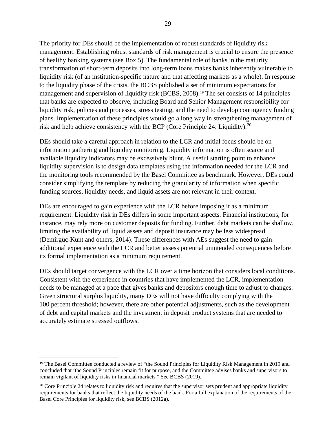The priority for DEs should be the implementation of robust standards of liquidity risk management. Establishing robust standards of risk management is crucial to ensure the presence of healthy banking systems (see Box 5). The fundamental role of banks in the maturity transformation of short-term deposits into long-term loans makes banks inherently vulnerable to liquidity risk (of an institution-specific nature and that affecting markets as a whole). In response to the liquidity phase of the crisis, the BCBS published a set of minimum expectations for management and supervision of liquidity risk (BCBS, 2008).[19](#page-28-0) The set consists of 14 principles that banks are expected to observe, including Board and Senior Management responsibility for liquidity risk, policies and processes, stress testing, and the need to develop contingency funding plans. Implementation of these principles would go a long way in strengthening management of risk and help achieve consistency with the BCP (Core Principle 24: Liquidity).<sup>[20](#page-28-1)</sup>

DEs should take a careful approach in relation to the LCR and initial focus should be on information gathering and liquidity monitoring. Liquidity information is often scarce and available liquidity indicators may be excessively blunt. A useful starting point to enhance liquidity supervision is to design data templates using the information needed for the LCR and the monitoring tools recommended by the Basel Committee as benchmark. However, DEs could consider simplifying the template by reducing the granularity of information when specific funding sources, liquidity needs, and liquid assets are not relevant in their context.

DEs are encouraged to gain experience with the LCR before imposing it as a minimum requirement. Liquidity risk in DEs differs in some important aspects. Financial institutions, for instance, may rely more on customer deposits for funding. Further, debt markets can be shallow, limiting the availability of liquid assets and deposit insurance may be less widespread (Demirgüç-Kunt and others, 2014). These differences with AEs suggest the need to gain additional experience with the LCR and better assess potential unintended consequences before its formal implementation as a minimum requirement.

DEs should target convergence with the LCR over a time horizon that considers local conditions. Consistent with the experience in countries that have implemented the LCR, implementation needs to be managed at a pace that gives banks and depositors enough time to adjust to changes. Given structural surplus liquidity, many DEs will not have difficulty complying with the 100 percent threshold; however, there are other potential adjustments, such as the development of debt and capital markets and the investment in deposit product systems that are needed to accurately estimate stressed outflows.

<span id="page-28-0"></span><sup>&</sup>lt;sup>19</sup> The Basel Committee conducted a review of "the Sound Principles for Liquidity Risk Management in 2019 and concluded that 'the Sound Principles remain fit for purpose, and the Committee advises banks and supervisors to remain vigilant of liquidity risks in financial markets." See BCBS (2019).

<span id="page-28-1"></span> $20$  Core Principle 24 relates to liquidity risk and requires that the supervisor sets prudent and appropriate liquidity requirements for banks that reflect the liquidity needs of the bank. For a full explanation of the requirements of the Basel Core Principles for liquidity risk, see BCBS (2012a).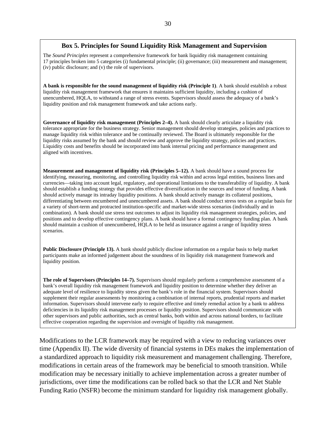#### **Box 5. Principles for Sound Liquidity Risk Management and Supervision**

The *Sound Principles* represent a comprehensive framework for bank liquidity risk management containing 17 principles broken into 5 categories (i) fundamental principle; (ii) governance; (iii) measurement and management; (iv) public disclosure; and (v) the role of supervisors.

**A bank is responsible for the sound management of liquidity risk (Principle 1)**. A bank should establish a robust liquidity risk management framework that ensures it maintains sufficient liquidity, including a cushion of unencumbered, HQLA, to withstand a range of stress events. Supervisors should assess the adequacy of a bank's liquidity position and risk management framework and take actions early.

**Governance of liquidity risk management (Principles 2–4).** A bank should clearly articulate a liquidity risk tolerance appropriate for the business strategy. Senior management should develop strategies, policies and practices to manage liquidity risk within tolerance and be continually reviewed. The Board is ultimately responsible for the liquidity risks assumed by the bank and should review and approve the liquidity strategy, policies and practices. Liquidity costs and benefits should be incorporated into bank internal pricing and performance management and aligned with incentives.

**Measurement and management of liquidity risk (Principles 5–12).** A bank should have a sound process for identifying, measuring, monitoring, and controlling liquidity risk within and across legal entities, business lines and currencies—taking into account legal, regulatory, and operational limitations to the transferability of liquidity. A bank should establish a funding strategy that provides effective diversification in the sources and tenor of funding. A bank should actively manage its intraday liquidity positions. A bank should actively manage its collateral positions, differentiating between encumbered and unencumbered assets. A bank should conduct stress tests on a regular basis for a variety of short-term and protracted institution-specific and market-wide stress scenarios (individually and in combination). A bank should use stress test outcomes to adjust its liquidity risk management strategies, policies, and positions and to develop effective contingency plans. A bank should have a formal contingency funding plan. A bank should maintain a cushion of unencumbered, HQLA to be held as insurance against a range of liquidity stress scenarios.

**Public Disclosure (Principle 13).** A bank should publicly disclose information on a regular basis to help market participants make an informed judgement about the soundness of its liquidity risk management framework and liquidity position.

**The role of Supervisors (Principles 14–7).** Supervisors should regularly perform a comprehensive assessment of a bank's overall liquidity risk management framework and liquidity position to determine whether they deliver an adequate level of resilience to liquidity stress given the bank's role in the financial system. Supervisors should supplement their regular assessments by monitoring a combination of internal reports, prudential reports and market information. Supervisors should intervene early to require effective and timely remedial action by a bank to address deficiencies in its liquidity risk management processes or liquidity position. Supervisors should communicate with other supervisors and public authorities, such as central banks, both within and across national borders, to facilitate effective cooperation regarding the supervision and oversight of liquidity risk management.

Modifications to the LCR framework may be required with a view to reducing variances over time (Appendix II). The wide diversity of financial systems in DEs makes the implementation of a standardized approach to liquidity risk measurement and management challenging. Therefore, modifications in certain areas of the framework may be beneficial to smooth transition. While modification may be necessary initially to achieve implementation across a greater number of jurisdictions, over time the modifications can be rolled back so that the LCR and Net Stable Funding Ratio (NSFR) become the minimum standard for liquidity risk management globally.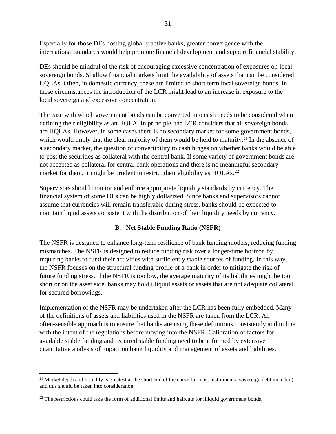Especially for those DEs hosting globally active banks, greater convergence with the international standards would help promote financial development and support financial stability.

DEs should be mindful of the risk of encouraging excessive concentration of exposures on local sovereign bonds. Shallow financial markets limit the availability of assets that can be considered HQLAs. Often, in domestic currency, these are limited to short term local sovereign bonds. In these circumstances the introduction of the LCR might lead to an increase in exposure to the local sovereign and excessive concentration.

The ease with which government bonds can be converted into cash needs to be considered when defining their eligibility as an HQLA. In principle, the LCR considers that all sovereign bonds are HQLAs. However, in some cases there is no secondary market for some government bonds, which would imply that the clear majority of them would be held to maturity.<sup>[21](#page-30-0)</sup> In the absence of a secondary market, the question of convertibility to cash hinges on whether banks would be able to post the securities as collateral with the central bank. If some variety of government bonds are not accepted as collateral for central bank operations and there is no meaningful secondary market for them, it might be prudent to restrict their eligibility as  $HQLAS$ .<sup>[22](#page-30-1)</sup>

Supervisors should monitor and enforce appropriate liquidity standards by currency. The financial system of some DEs can be highly dollarized. Since banks and supervisors cannot assume that currencies will remain transferable during stress, banks should be expected to maintain liquid assets consistent with the distribution of their liquidity needs by currency.

## **B. Net Stable Funding Ratio (NSFR)**

The NSFR is designed to enhance long-term resilience of bank funding models, reducing funding mismatches. The NSFR is designed to reduce funding risk over a longer-time horizon by requiring banks to fund their activities with sufficiently stable sources of funding. In this way, the NSFR focuses on the structural funding profile of a bank in order to mitigate the risk of future funding stress. If the NSFR is too low, the average maturity of its liabilities might be too short or on the asset side, banks may hold illiquid assets or assets that are not adequate collateral for secured borrowings.

Implementation of the NSFR may be undertaken after the LCR has been fully embedded. Many of the definitions of assets and liabilities used in the NSFR are taken from the LCR. An often-sensible approach is to ensure that banks are using these definitions consistently and in line with the intent of the regulations before moving into the NSFR. Calibration of factors for available stable funding and required stable funding need to be informed by extensive quantitative analysis of impact on bank liquidity and management of assets and liabilities.

<span id="page-30-0"></span><sup>&</sup>lt;sup>21</sup> Market depth and liquidity is greatest at the short end of the curve for most instruments (sovereign debt included) and this should be taken into consideration.

<span id="page-30-1"></span> $22$  The restrictions could take the form of additional limits and haircuts for illiquid government bonds.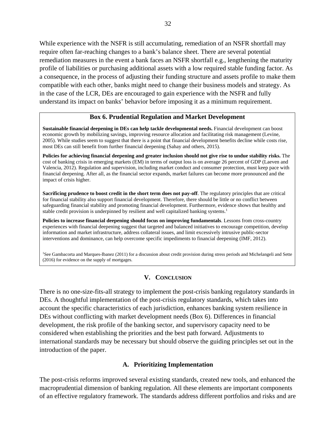While experience with the NSFR is still accumulating, remediation of an NSFR shortfall may require often far-reaching changes to a bank's balance sheet. There are several potential remediation measures in the event a bank faces an NSFR shortfall e.g., lengthening the maturity profile of liabilities or purchasing additional assets with a low required stable funding factor. As a consequence, in the process of adjusting their funding structure and assets profile to make them compatible with each other, banks might need to change their business models and strategy. As in the case of the LCR, DEs are encouraged to gain experience with the NSFR and fully understand its impact on banks' behavior before imposing it as a minimum requirement.

#### **Box 6. Prudential Regulation and Market Development**

**Sustainable financial deepening in DEs can help tackle developmental needs.** Financial development can boost economic growth by mobilizing savings, improving resource allocation and facilitating risk management (Levine, 2005). While studies seem to suggest that there is a point that financial development benefits decline while costs rise, most DEs can still benefit from further financial deepening (Sahay and others, 2015).

**Policies for achieving financial deepening and greater inclusion should not give rise to undue stability risks.** The cost of banking crisis in emerging markets (EM) in terms of output loss is on average 26 percent of GDP (Laeven and Valencia, 2012). Regulation and supervision, including market conduct and consumer protection, must keep pace with financial deepening. After all, as the financial sector expands, market failures can become more pronounced and the impact of crisis higher.

**Sacrificing prudence to boost credit in the short term does not pay-off**. The regulatory principles that are critical for financial stability also support financial development. Therefore, there should be little or no conflict between safeguarding financial stability and promoting financial development. Furthermore, evidence shows that healthy and stable credit provision is underpinned by resilient and well capitalized banking systems.<sup>1</sup>

**Policies to increase financial deepening should focus on improving fundamentals**. Lessons from cross-country experiences with financial deepening suggest that targeted and balanced initiatives to encourage competition, develop information and market infrastructure, address collateral issues, and limit excessively intrusive public-sector interventions and dominance, can help overcome specific impediments to financial deepening (IMF, 2012).

<sup>1</sup>See Gambacorta and Marques-Ibanez (2011) for a discussion about credit provision during stress periods and Michelangeli and Sette (2016) for evidence on the supply of mortgages.

#### **V. CONCLUSION**

There is no one-size-fits-all strategy to implement the post-crisis banking regulatory standards in DEs. A thoughtful implementation of the post-crisis regulatory standards, which takes into account the specific characteristics of each jurisdiction, enhances banking system resilience in DEs without conflicting with market development needs (Box 6). Differences in financial development, the risk profile of the banking sector, and supervisory capacity need to be considered when establishing the priorities and the best path forward. Adjustments to international standards may be necessary but should observe the guiding principles set out in the introduction of the paper.

#### **A. Prioritizing Implementation**

The post-crisis reforms improved several existing standards, created new tools, and enhanced the macroprudential dimension of banking regulation. All these elements are important components of an effective regulatory framework. The standards address different portfolios and risks and are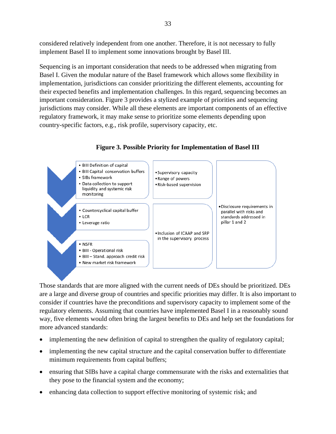considered relatively independent from one another. Therefore, it is not necessary to fully implement Basel II to implement some innovations brought by Basel III.

Sequencing is an important consideration that needs to be addressed when migrating from Basel I. Given the modular nature of the Basel framework which allows some flexibility in implementation, jurisdictions can consider prioritizing the different elements, accounting for their expected benefits and implementation challenges. In this regard, sequencing becomes an important consideration. Figure 3 provides a stylized example of priorities and sequencing jurisdictions may consider. While all these elements are important components of an effective regulatory framework, it may make sense to prioritize some elements depending upon country-specific factors, e.g., risk profile, supervisory capacity, etc.



**Figure 3. Possible Priority for Implementation of Basel III**

Those standards that are more aligned with the current needs of DEs should be prioritized. DEs are a large and diverse group of countries and specific priorities may differ. It is also important to consider if countries have the preconditions and supervisory capacity to implement some of the regulatory elements. Assuming that countries have implemented Basel I in a reasonably sound way, five elements would often bring the largest benefits to DEs and help set the foundations for more advanced standards:

- implementing the new definition of capital to strengthen the quality of regulatory capital;
- implementing the new capital structure and the capital conservation buffer to differentiate minimum requirements from capital buffers;
- ensuring that SIBs have a capital charge commensurate with the risks and externalities that they pose to the financial system and the economy;
- enhancing data collection to support effective monitoring of systemic risk; and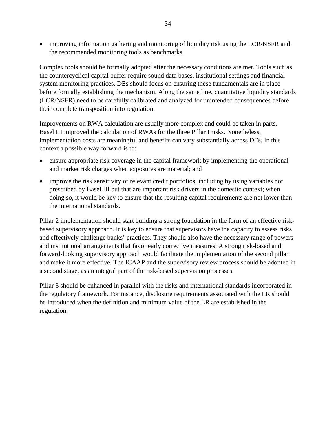• improving information gathering and monitoring of liquidity risk using the LCR/NSFR and the recommended monitoring tools as benchmarks.

Complex tools should be formally adopted after the necessary conditions are met. Tools such as the countercyclical capital buffer require sound data bases, institutional settings and financial system monitoring practices. DEs should focus on ensuring these fundamentals are in place before formally establishing the mechanism. Along the same line, quantitative liquidity standards (LCR/NSFR) need to be carefully calibrated and analyzed for unintended consequences before their complete transposition into regulation.

Improvements on RWA calculation are usually more complex and could be taken in parts. Basel III improved the calculation of RWAs for the three Pillar I risks. Nonetheless, implementation costs are meaningful and benefits can vary substantially across DEs. In this context a possible way forward is to:

- ensure appropriate risk coverage in the capital framework by implementing the operational and market risk charges when exposures are material; and
- improve the risk sensitivity of relevant credit portfolios, including by using variables not prescribed by Basel III but that are important risk drivers in the domestic context; when doing so, it would be key to ensure that the resulting capital requirements are not lower than the international standards.

Pillar 2 implementation should start building a strong foundation in the form of an effective riskbased supervisory approach. It is key to ensure that supervisors have the capacity to assess risks and effectively challenge banks' practices. They should also have the necessary range of powers and institutional arrangements that favor early corrective measures. A strong risk-based and forward-looking supervisory approach would facilitate the implementation of the second pillar and make it more effective. The ICAAP and the supervisory review process should be adopted in a second stage, as an integral part of the risk-based supervision processes.

Pillar 3 should be enhanced in parallel with the risks and international standards incorporated in the regulatory framework. For instance, disclosure requirements associated with the LR should be introduced when the definition and minimum value of the LR are established in the regulation.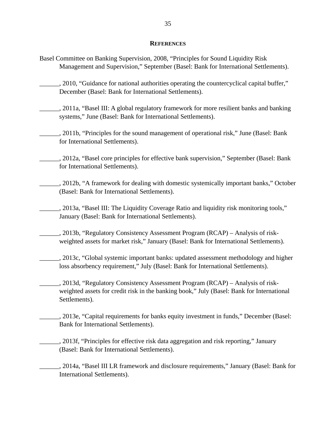#### **REFERENCES**

- Basel Committee on Banking Supervision, 2008, "Principles for Sound Liquidity Risk Management and Supervision," September (Basel: Bank for International Settlements).
- \_\_\_\_\_\_, 2010, "Guidance for national authorities operating the countercyclical capital buffer," December (Basel: Bank for International Settlements).
- 2011a, "Basel III: A global regulatory framework for more resilient banks and banking systems," June (Basel: Bank for International Settlements).
- \_\_\_\_\_\_, 2011b, "Principles for the sound management of operational risk," June (Basel: Bank for International Settlements).
- \_\_\_\_\_\_, 2012a, "Basel core principles for effective bank supervision," September (Basel: Bank for International Settlements).
- \_\_\_\_\_\_, 2012b, "A framework for dealing with domestic systemically important banks," October (Basel: Bank for International Settlements).
- \_\_\_\_\_\_, 2013a, "Basel III: The Liquidity Coverage Ratio and liquidity risk monitoring tools," January (Basel: Bank for International Settlements).
- \_\_\_\_\_\_, 2013b, "Regulatory Consistency Assessment Program (RCAP) Analysis of riskweighted assets for market risk," January (Basel: Bank for International Settlements).
	- \_\_\_\_\_\_, 2013c, "Global systemic important banks: updated assessment methodology and higher loss absorbency requirement," July (Basel: Bank for International Settlements).
	- \_\_\_\_\_\_, 2013d, "Regulatory Consistency Assessment Program (RCAP) Analysis of riskweighted assets for credit risk in the banking book," July (Basel: Bank for International Settlements).
	- \_\_\_\_\_\_, 2013e, "Capital requirements for banks equity investment in funds," December (Basel: Bank for International Settlements).
	- \_\_\_\_\_\_, 2013f, "Principles for effective risk data aggregation and risk reporting," January (Basel: Bank for International Settlements).
- \_\_\_\_\_\_, 2014a, "Basel III LR framework and disclosure requirements," January (Basel: Bank for International Settlements).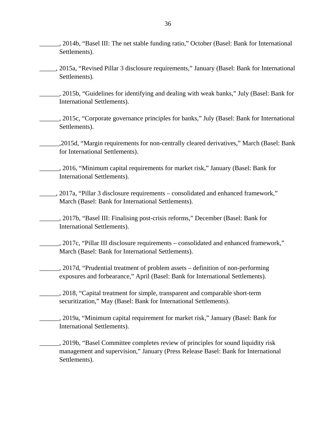- \_\_\_\_\_\_, 2014b, "Basel III: The net stable funding ratio," October (Basel: Bank for International Settlements).
- \_\_\_\_\_, 2015a, "Revised Pillar 3 disclosure requirements," January (Basel: Bank for International Settlements).
- \_\_\_\_\_\_, 2015b, "Guidelines for identifying and dealing with weak banks," July (Basel: Bank for International Settlements).
- \_\_\_\_\_\_, 2015c, "Corporate governance principles for banks," July (Basel: Bank for International Settlements).
- \_\_\_\_\_\_,2015d, "Margin requirements for non-centrally cleared derivatives," March (Basel: Bank for International Settlements).
- \_\_\_\_\_\_, 2016, "Minimum capital requirements for market risk," January (Basel: Bank for International Settlements).
- \_\_\_\_\_, 2017a, "Pillar 3 disclosure requirements consolidated and enhanced framework," March (Basel: Bank for International Settlements).
- \_\_\_\_\_\_, 2017b, "Basel III: Finalising post-crisis reforms," December (Basel: Bank for International Settlements).
- \_\_\_\_\_\_, 2017c, "Pillar III disclosure requirements consolidated and enhanced framework," March (Basel: Bank for International Settlements).
- \_\_\_\_\_\_, 2017d, "Prudential treatment of problem assets definition of non-performing exposures and forbearance," April (Basel: Bank for International Settlements).
	- \_\_\_\_\_\_, 2018, "Capital treatment for simple, transparent and comparable short-term securitization," May (Basel: Bank for International Settlements).
- \_\_\_\_\_\_, 2019a, "Minimum capital requirement for market risk," January (Basel: Bank for International Settlements).
- $\_\_\_\_\_$ , 2019b, "Basel Committee completes review of principles for sound liquidity risk management and supervision," January (Press Release Basel: Bank for International Settlements).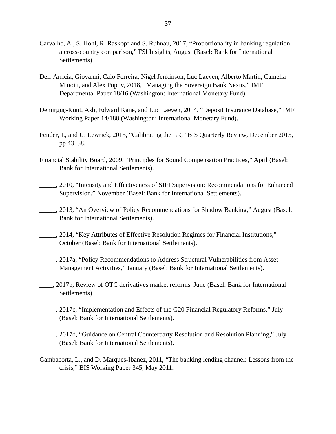- Carvalho, A., S. Hohl, R. Raskopf and S. Ruhnau, 2017, "Proportionality in banking regulation: a cross-country comparison," FSI Insights, August (Basel: Bank for International Settlements).
- Dell'Arricia, Giovanni, Caio Ferreira, [Nigel Jenkinson,](https://www.imf.org/en/Publications/Publications-By-Author?author=Nigel++Jenkinson&name=Nigel%20%20Jenkinson) Luc Laeven, [Alberto Martin,](https://www.imf.org/en/Publications/Publications-By-Author?author=Alberto++Martin&name=Alberto%20%20Martin) [Camelia](https://www.imf.org/en/Publications/Publications-By-Author?author=Camelia++Minoiu&name=Camelia%20%20Minoiu)  [Minoiu,](https://www.imf.org/en/Publications/Publications-By-Author?author=Camelia++Minoiu&name=Camelia%20%20Minoiu) and [Alex Popov,](https://www.imf.org/en/Publications/Publications-By-Author?author=Alex++Popov&name=Alex%20%20Popov) 2018, "Managing the Sovereign Bank Nexus," IMF Departmental Paper 18/16 (Washington: International Monetary Fund).
- Demirgüç-Kunt, Asli, Edward Kane, and Luc Laeven, 2014, "Deposit Insurance Database," IMF Working Paper 14/188 (Washington: International Monetary Fund).
- Fender, I., and U. Lewrick, 2015, "Calibrating the LR," BIS Quarterly Review, December 2015, pp 43–58.
- Financial Stability Board, 2009, "Principles for Sound Compensation Practices," April (Basel: Bank for International Settlements).
- \_\_\_\_\_, 2010, "Intensity and Effectiveness of SIFI Supervision: Recommendations for Enhanced Supervision," November (Basel: Bank for International Settlements).
- \_\_\_\_\_, 2013, "An Overview of Policy Recommendations for Shadow Banking," August (Basel: Bank for International Settlements).
- \_\_\_\_\_, 2014, "Key Attributes of Effective Resolution Regimes for Financial Institutions," October (Basel: Bank for International Settlements).
	- \_\_\_\_\_, 2017a, "Policy Recommendations to Address Structural Vulnerabilities from Asset Management Activities," January (Basel: Bank for International Settlements).
- \_\_\_\_, 2017b, Review of OTC derivatives market reforms. June (Basel: Bank for International Settlements).
- \_\_\_\_\_, 2017c, "Implementation and Effects of the G20 Financial Regulatory Reforms," July (Basel: Bank for International Settlements).
- \_\_\_\_\_, 2017d, "Guidance on Central Counterparty Resolution and Resolution Planning," July (Basel: Bank for International Settlements).
- Gambacorta, L., and D. Marques-Ibanez, 2011, "The banking lending channel: Lessons from the crisis," BIS Working Paper 345, May 2011.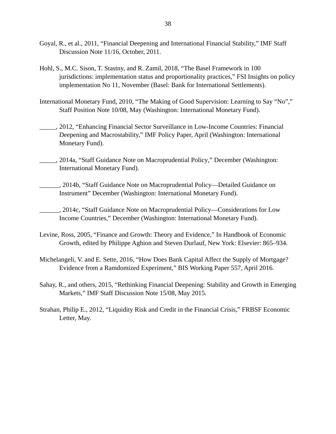- Goyal, R., et al., 2011, "Financial Deepening and International Financial Stability," IMF Staff Discussion Note 11/16, October, 2011.
- Hohl, S., M.C. Sison, T. Stastny, and R. Zamil, 2018, "The Basel Framework in 100 jurisdictions: implementation status and proportionality practices," FSI Insights on policy implementation No 11, November (Basel: Bank for International Settlements).
- International Monetary Fund, 2010, "The Making of Good Supervision: Learning to Say "No"," Staff Position Note 10/08, May (Washington: International Monetary Fund).
- \_\_\_\_\_, 2012, "Enhancing Financial Sector Surveillance in Low-Income Countries: Financial Deepening and Macrostability," IMF Policy Paper, April (Washington: International Monetary Fund).
- \_\_\_\_\_, 2014a, "Staff Guidance Note on Macroprudential Policy," December (Washington: International Monetary Fund).
- \_\_\_\_\_\_, 2014b, "Staff Guidance Note on Macroprudential Policy—Detailed Guidance on Instrument" December (Washington: International Monetary Fund).
- \_\_\_\_\_\_, 2014c, "Staff Guidance Note on Macroprudential Policy—Considerations for Low Income Countries," December (Washington: International Monetary Fund).
- Levine, Ross, 2005, "Finance and Growth: Theory and Evidence," In Handbook of Economic Growth, edited by Philippe Aghion and Steven Durlauf, New York: Elsevier: 865–934.
- Michelangeli, V. and E. Sette, 2016, "How Does Bank Capital Affect the Supply of Mortgage? Evidence from a Ramdomized Experiment," BIS Working Paper 557, April 2016.
- Sahay, R., and others, 2015, "Rethinking Financial Deepening: Stability and Growth in Emerging Markets," IMF Staff Discussion Note 15/08, May 2015.
- Strahan, Philip E., 2012, "Liquidity Risk and Credit in the Financial Crisis," FRBSF Economic Letter, May.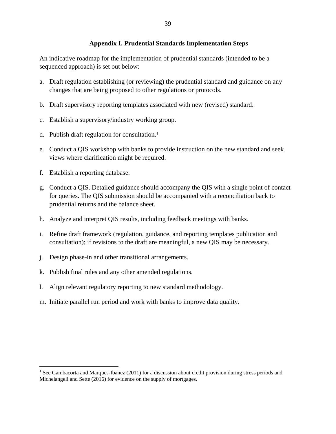## **Appendix I. Prudential Standards Implementation Steps**

An indicative roadmap for the implementation of prudential standards (intended to be a sequenced approach) is set out below:

- a. Draft regulation establishing (or reviewing) the prudential standard and guidance on any changes that are being proposed to other regulations or protocols.
- b. Draft supervisory reporting templates associated with new (revised) standard.
- c. Establish a supervisory/industry working group.
- d. Publish draft regulation for consultation.[1](#page-38-0)
- e. Conduct a QIS workshop with banks to provide instruction on the new standard and seek views where clarification might be required.
- f. Establish a reporting database.
- g. Conduct a QIS. Detailed guidance should accompany the QIS with a single point of contact for queries. The QIS submission should be accompanied with a reconciliation back to prudential returns and the balance sheet.
- h. Analyze and interpret QIS results, including feedback meetings with banks.
- i. Refine draft framework (regulation, guidance, and reporting templates publication and consultation); if revisions to the draft are meaningful, a new QIS may be necessary.
- j. Design phase-in and other transitional arrangements.
- k. Publish final rules and any other amended regulations.
- l. Align relevant regulatory reporting to new standard methodology.
- m. Initiate parallel run period and work with banks to improve data quality.

<span id="page-38-0"></span><sup>&</sup>lt;sup>1</sup> See Gambacorta and Marques-Ibanez (2011) for a discussion about credit provision during stress periods and Michelangeli and Sette (2016) for evidence on the supply of mortgages.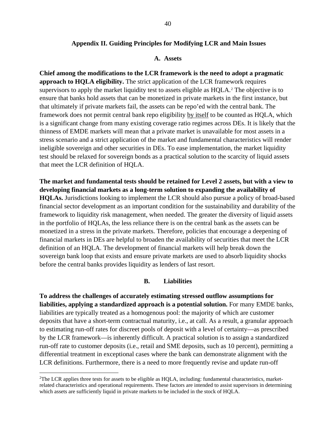#### **Appendix II. Guiding Principles for Modifying LCR and Main Issues**

#### **A. Assets**

**Chief among the modifications to the LCR framework is the need to adopt a pragmatic approach to HQLA eligibility.** The strict application of the LCR framework requires supervisors to apply the market liquidity test to assets eligible as HQLA.<sup>[2](#page-39-0)</sup> The objective is to ensure that banks hold assets that can be monetized in private markets in the first instance, but that ultimately if private markets fail, the assets can be repo'ed with the central bank. The framework does not permit central bank repo eligibility by itself to be counted as HQLA, which is a significant change from many existing coverage ratio regimes across DEs. It is likely that the thinness of EMDE markets will mean that a private market is unavailable for most assets in a stress scenario and a strict application of the market and fundamental characteristics will render ineligible sovereign and other securities in DEs. To ease implementation, the market liquidity test should be relaxed for sovereign bonds as a practical solution to the scarcity of liquid assets that meet the LCR definition of HQLA.

**The market and fundamental tests should be retained for Level 2 assets, but with a view to developing financial markets as a long-term solution to expanding the availability of HQLAs.** Jurisdictions looking to implement the LCR should also pursue a policy of broad-based financial sector development as an important condition for the sustainability and durability of the framework to liquidity risk management, when needed. The greater the diversity of liquid assets in the portfolio of HQLAs, the less reliance there is on the central bank as the assets can be monetized in a stress in the private markets. Therefore, policies that encourage a deepening of financial markets in DEs are helpful to broaden the availability of securities that meet the LCR definition of an HQLA. The development of financial markets will help break down the sovereign bank loop that exists and ensure private markets are used to absorb liquidity shocks before the central banks provides liquidity as lenders of last resort.

#### **B. Liabilities**

**To address the challenges of accurately estimating stressed outflow assumptions for liabilities, applying a standardized approach is a potential solution.** For many EMDE banks, liabilities are typically treated as a homogenous pool: the majority of which are customer deposits that have a short-term contractual maturity, i.e., at call. As a result, a granular approach to estimating run-off rates for discreet pools of deposit with a level of certainty—as prescribed by the LCR framework—is inherently difficult. A practical solution is to assign a standardized run-off rate to customer deposits (i.e., retail and SME deposits, such as 10 percent), permitting a differential treatment in exceptional cases where the bank can demonstrate alignment with the LCR definitions. Furthermore, there is a need to more frequently revise and update run-off

<span id="page-39-0"></span> $\frac{1}{2}$  $T$ The LCR applies three tests for assets to be eligible as HOLA, including: fundamental characteristics, marketrelated characteristics and operational requirements. These factors are intended to assist supervisors in determining which assets are sufficiently liquid in private markets to be included in the stock of HQLA.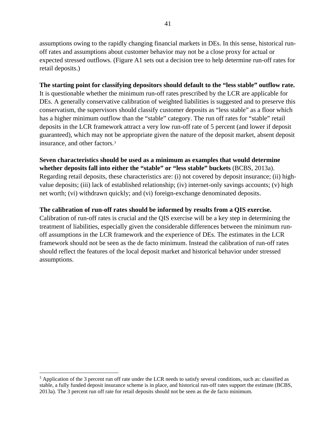assumptions owing to the rapidly changing financial markets in DEs. In this sense, historical runoff rates and assumptions about customer behavior may not be a close proxy for actual or expected stressed outflows. (Figure A1 sets out a decision tree to help determine run-off rates for retail deposits.)

## **The starting point for classifying depositors should default to the "less stable" outflow rate.**

It is questionable whether the minimum run-off rates prescribed by the LCR are applicable for DEs. A generally conservative calibration of weighted liabilities is suggested and to preserve this conservatism, the supervisors should classify customer deposits as "less stable" as a floor which has a higher minimum outflow than the "stable" category. The run off rates for "stable" retail deposits in the LCR framework attract a very low run-off rate of 5 percent (and lower if deposit guaranteed), which may not be appropriate given the nature of the deposit market, absent deposit insurance, and other factors.[3](#page-40-0)

## **Seven characteristics should be used as a minimum as examples that would determine**

**whether deposits fall into either the "stable" or "less stable" buckets** (BCBS, 2013a). Regarding retail deposits, these characteristics are: (i) not covered by deposit insurance; (ii) highvalue deposits; (iii) lack of established relationship; (iv) internet-only savings accounts; (v) high net worth; (vi) withdrawn quickly; and (vi) foreign-exchange denominated deposits.

## **The calibration of run-off rates should be informed by results from a QIS exercise.**

Calibration of run-off rates is crucial and the QIS exercise will be a key step in determining the treatment of liabilities, especially given the considerable differences between the minimum runoff assumptions in the LCR framework and the experience of DEs. The estimates in the LCR framework should not be seen as the de facto minimum. Instead the calibration of run-off rates should reflect the features of the local deposit market and historical behavior under stressed assumptions.

<span id="page-40-0"></span><sup>&</sup>lt;sup>3</sup> Application of the 3 percent run off rate under the LCR needs to satisfy several conditions, such as: classified as stable, a fully funded deposit insurance scheme is in place, and historical run-off rates support the estimate (BCBS, 2013a). The 3 percent run off rate for retail deposits should not be seen as the de facto minimum.